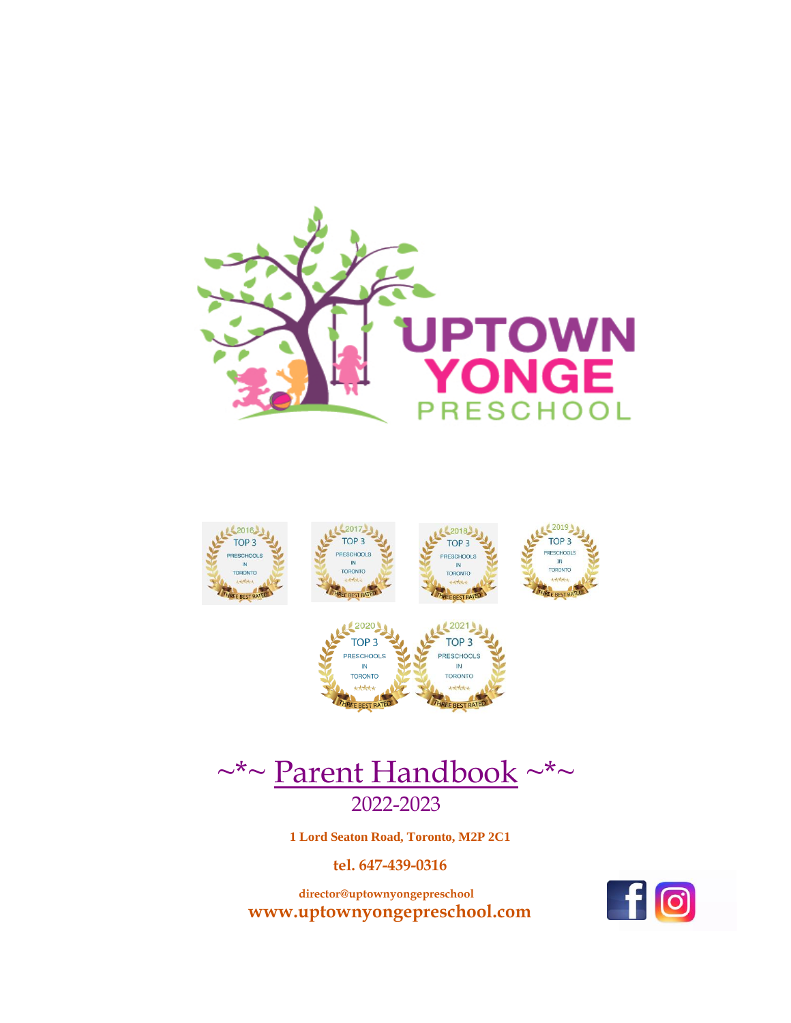



EE BEST RATE



E BEST RA

 **1 Lord Seaton Road, Toronto, M2P 2C1**

 **tel. 647-439-0316**

 **director@uptownyongepreschool www.uptownyongepreschool.com** 

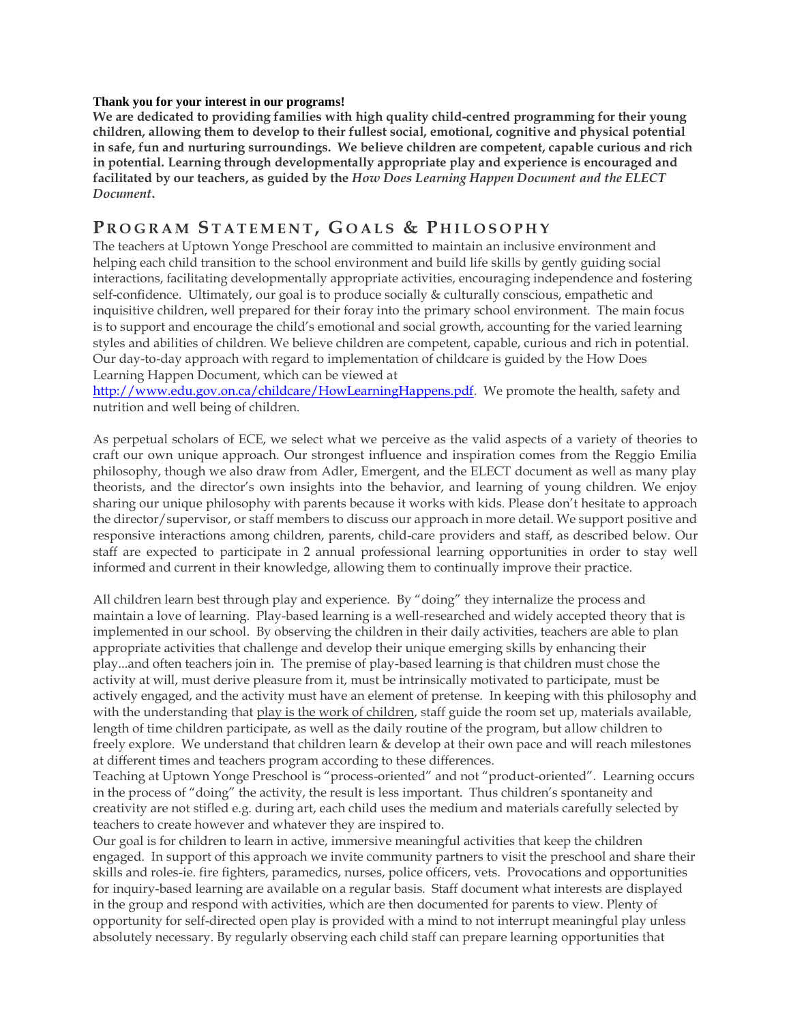#### **Thank you for your interest in our programs!**

**We are dedicated to providing families with high quality child-centred programming for their young children, allowing them to develop to their fullest social, emotional, cognitive and physical potential in safe, fun and nurturing surroundings. We believe children are competent, capable curious and rich in potential. Learning through developmentally appropriate play and experience is encouraged and facilitated by our teachers, as guided by the** *How Does Learning Happen Document and the ELECT Document***.**

# **P R O G R A M S T A T E M E N T , G O A L S & P H I L O S O P H Y**

The teachers at Uptown Yonge Preschool are committed to maintain an inclusive environment and helping each child transition to the school environment and build life skills by gently guiding social interactions, facilitating developmentally appropriate activities, encouraging independence and fostering self-confidence. Ultimately, our goal is to produce socially & culturally conscious, empathetic and inquisitive children, well prepared for their foray into the primary school environment. The main focus is to support and encourage the child's emotional and social growth, accounting for the varied learning styles and abilities of children. We believe children are competent, capable, curious and rich in potential. Our day-to-day approach with regard to implementation of childcare is guided by the How Does Learning Happen Document, which can be viewed at

[http://www.edu.gov.on.ca/childcare/HowLearningHappens.pdf.](http://www.edu.gov.on.ca/childcare/HowLearningHappens.pdf) We promote the health, safety and nutrition and well being of children.

As perpetual scholars of ECE, we select what we perceive as the valid aspects of a variety of theories to craft our own unique approach. Our strongest influence and inspiration comes from the Reggio Emilia philosophy, though we also draw from Adler, Emergent, and the ELECT document as well as many play theorists, and the director's own insights into the behavior, and learning of young children. We enjoy sharing our unique philosophy with parents because it works with kids. Please don't hesitate to approach the director/supervisor, or staff members to discuss our approach in more detail. We support positive and responsive interactions among children, parents, child-care providers and staff, as described below. Our staff are expected to participate in 2 annual professional learning opportunities in order to stay well informed and current in their knowledge, allowing them to continually improve their practice.

All children learn best through play and experience. By "doing" they internalize the process and maintain a love of learning. Play-based learning is a well-researched and widely accepted theory that is implemented in our school. By observing the children in their daily activities, teachers are able to plan appropriate activities that challenge and develop their unique emerging skills by enhancing their play...and often teachers join in. The premise of play-based learning is that children must chose the activity at will, must derive pleasure from it, must be intrinsically motivated to participate, must be actively engaged, and the activity must have an element of pretense. In keeping with this philosophy and with the understanding that play is the work of children, staff guide the room set up, materials available, length of time children participate, as well as the daily routine of the program, but allow children to freely explore. We understand that children learn & develop at their own pace and will reach milestones at different times and teachers program according to these differences.

Teaching at Uptown Yonge Preschool is "process-oriented" and not "product-oriented". Learning occurs in the process of "doing" the activity, the result is less important. Thus children's spontaneity and creativity are not stifled e.g. during art, each child uses the medium and materials carefully selected by teachers to create however and whatever they are inspired to.

Our goal is for children to learn in active, immersive meaningful activities that keep the children engaged. In support of this approach we invite community partners to visit the preschool and share their skills and roles-ie. fire fighters, paramedics, nurses, police officers, vets. Provocations and opportunities for inquiry-based learning are available on a regular basis. Staff document what interests are displayed in the group and respond with activities, which are then documented for parents to view. Plenty of opportunity for self-directed open play is provided with a mind to not interrupt meaningful play unless absolutely necessary. By regularly observing each child staff can prepare learning opportunities that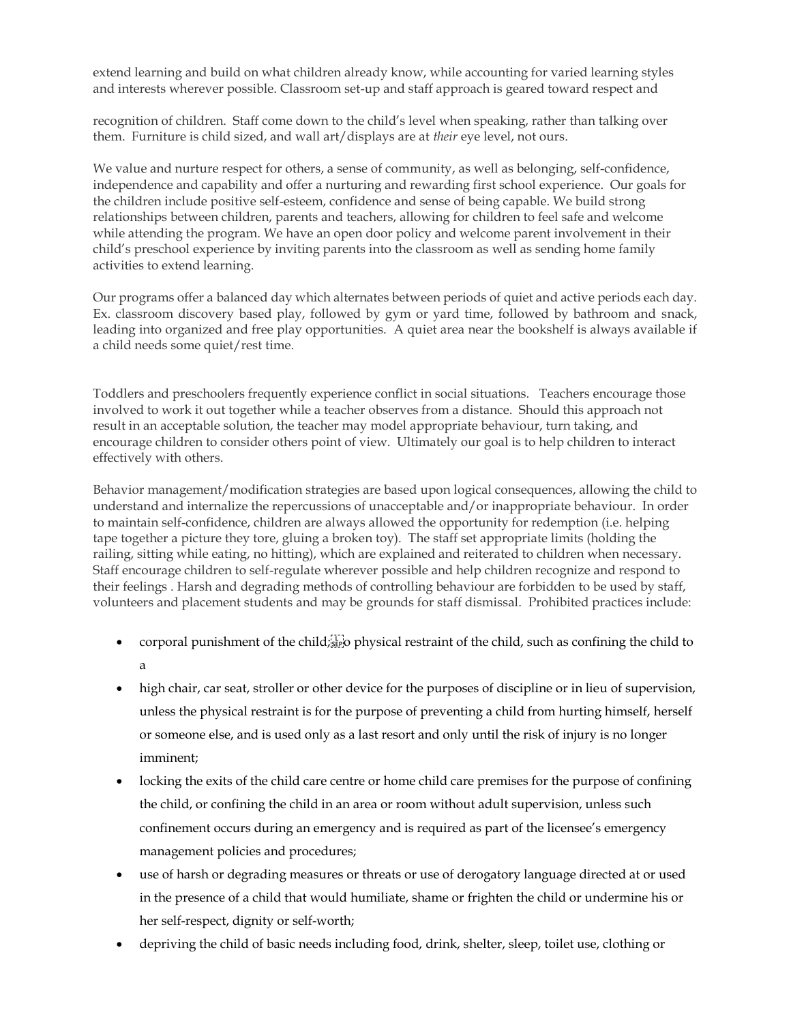extend learning and build on what children already know, while accounting for varied learning styles and interests wherever possible. Classroom set-up and staff approach is geared toward respect and

recognition of children. Staff come down to the child's level when speaking, rather than talking over them. Furniture is child sized, and wall art/displays are at *their* eye level, not ours.

We value and nurture respect for others, a sense of community, as well as belonging, self-confidence, independence and capability and offer a nurturing and rewarding first school experience. Our goals for the children include positive self-esteem, confidence and sense of being capable. We build strong relationships between children, parents and teachers, allowing for children to feel safe and welcome while attending the program. We have an open door policy and welcome parent involvement in their child's preschool experience by inviting parents into the classroom as well as sending home family activities to extend learning.

Our programs offer a balanced day which alternates between periods of quiet and active periods each day. Ex. classroom discovery based play, followed by gym or yard time, followed by bathroom and snack, leading into organized and free play opportunities. A quiet area near the bookshelf is always available if a child needs some quiet/rest time.

Toddlers and preschoolers frequently experience conflict in social situations. Teachers encourage those involved to work it out together while a teacher observes from a distance. Should this approach not result in an acceptable solution, the teacher may model appropriate behaviour, turn taking, and encourage children to consider others point of view. Ultimately our goal is to help children to interact effectively with others.

Behavior management/modification strategies are based upon logical consequences, allowing the child to understand and internalize the repercussions of unacceptable and/or inappropriate behaviour. In order to maintain self-confidence, children are always allowed the opportunity for redemption (i.e. helping tape together a picture they tore, gluing a broken toy). The staff set appropriate limits (holding the railing, sitting while eating, no hitting), which are explained and reiterated to children when necessary. Staff encourage children to self-regulate wherever possible and help children recognize and respond to their feelings . Harsh and degrading methods of controlling behaviour are forbidden to be used by staff, volunteers and placement students and may be grounds for staff dismissal. Prohibited practices include:

- corporal punishment of the child;  $\frac{1}{1000}$  physical restraint of the child, such as confining the child to a
- high chair, car seat, stroller or other device for the purposes of discipline or in lieu of supervision, unless the physical restraint is for the purpose of preventing a child from hurting himself, herself or someone else, and is used only as a last resort and only until the risk of injury is no longer imminent;
- locking the exits of the child care centre or home child care premises for the purpose of confining the child, or confining the child in an area or room without adult supervision, unless such confinement occurs during an emergency and is required as part of the licensee's emergency management policies and procedures;
- use of harsh or degrading measures or threats or use of derogatory language directed at or used in the presence of a child that would humiliate, shame or frighten the child or undermine his or her self-respect, dignity or self-worth;
- depriving the child of basic needs including food, drink, shelter, sleep, toilet use, clothing or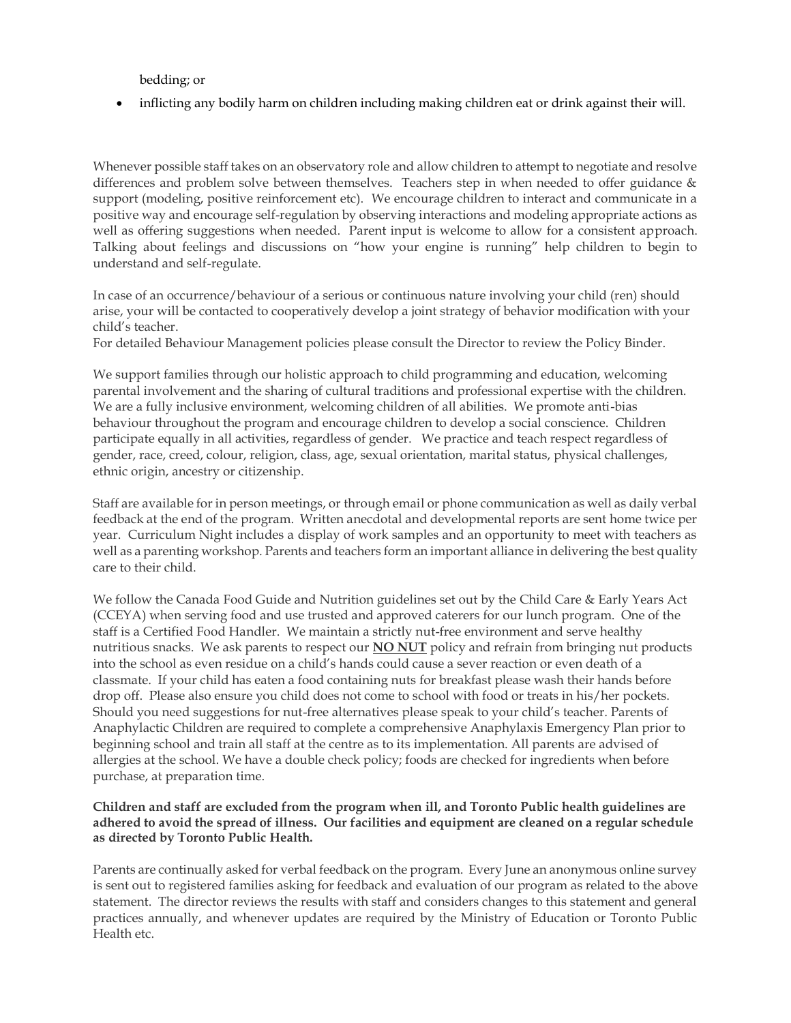bedding; or

• inflicting any bodily harm on children including making children eat or drink against their will.

Whenever possible staff takes on an observatory role and allow children to attempt to negotiate and resolve differences and problem solve between themselves. Teachers step in when needed to offer guidance & support (modeling, positive reinforcement etc). We encourage children to interact and communicate in a positive way and encourage self-regulation by observing interactions and modeling appropriate actions as well as offering suggestions when needed. Parent input is welcome to allow for a consistent approach. Talking about feelings and discussions on "how your engine is running" help children to begin to understand and self-regulate.

In case of an occurrence/behaviour of a serious or continuous nature involving your child (ren) should arise, your will be contacted to cooperatively develop a joint strategy of behavior modification with your child's teacher.

For detailed Behaviour Management policies please consult the Director to review the Policy Binder.

We support families through our holistic approach to child programming and education, welcoming parental involvement and the sharing of cultural traditions and professional expertise with the children. We are a fully inclusive environment, welcoming children of all abilities. We promote anti-bias behaviour throughout the program and encourage children to develop a social conscience. Children participate equally in all activities, regardless of gender. We practice and teach respect regardless of gender, race, creed, colour, religion, class, age, sexual orientation, marital status, physical challenges, ethnic origin, ancestry or citizenship.

Staff are available for in person meetings, or through email or phone communication as well as daily verbal feedback at the end of the program. Written anecdotal and developmental reports are sent home twice per year. Curriculum Night includes a display of work samples and an opportunity to meet with teachers as well as a parenting workshop. Parents and teachers form an important alliance in delivering the best quality care to their child.

We follow the Canada Food Guide and Nutrition guidelines set out by the Child Care & Early Years Act (CCEYA) when serving food and use trusted and approved caterers for our lunch program. One of the staff is a Certified Food Handler. We maintain a strictly nut-free environment and serve healthy nutritious snacks. We ask parents to respect our **NO NUT** policy and refrain from bringing nut products into the school as even residue on a child's hands could cause a sever reaction or even death of a classmate. If your child has eaten a food containing nuts for breakfast please wash their hands before drop off. Please also ensure you child does not come to school with food or treats in his/her pockets. Should you need suggestions for nut-free alternatives please speak to your child's teacher. Parents of Anaphylactic Children are required to complete a comprehensive Anaphylaxis Emergency Plan prior to beginning school and train all staff at the centre as to its implementation. All parents are advised of allergies at the school. We have a double check policy; foods are checked for ingredients when before purchase, at preparation time.

#### **Children and staff are excluded from the program when ill, and Toronto Public health guidelines are adhered to avoid the spread of illness. Our facilities and equipment are cleaned on a regular schedule as directed by Toronto Public Health.**

Parents are continually asked for verbal feedback on the program. Every June an anonymous online survey is sent out to registered families asking for feedback and evaluation of our program as related to the above statement. The director reviews the results with staff and considers changes to this statement and general practices annually, and whenever updates are required by the Ministry of Education or Toronto Public Health etc.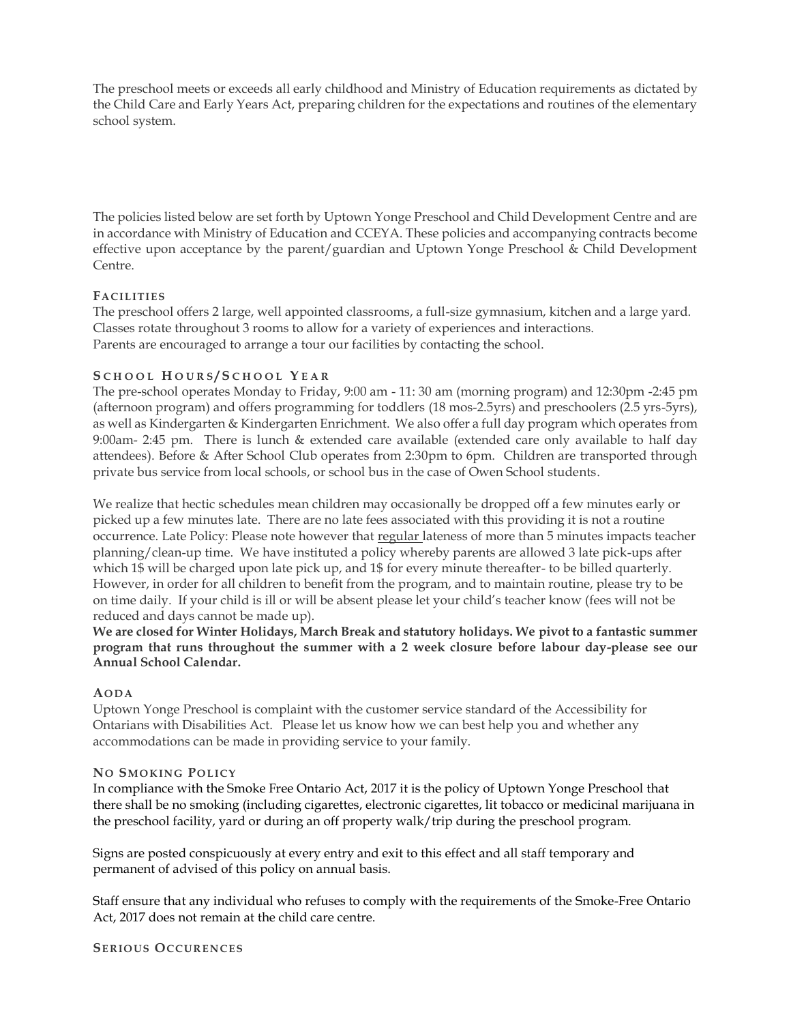The preschool meets or exceeds all early childhood and Ministry of Education requirements as dictated by the Child Care and Early Years Act, preparing children for the expectations and routines of the elementary school system.

The policies listed below are set forth by Uptown Yonge Preschool and Child Development Centre and are in accordance with Ministry of Education and CCEYA. These policies and accompanying contracts become effective upon acceptance by the parent/guardian and Uptown Yonge Preschool & Child Development Centre.

#### **FA CIL ITIE S**

The preschool offers 2 large, well appointed classrooms, a full-size gymnasium, kitchen and a large yard. Classes rotate throughout 3 rooms to allow for a variety of experiences and interactions. Parents are encouraged to arrange a tour our facilities by contacting the school.

#### **S C H O O L H O U R S / S C H O O L Y E A R**

The pre-school operates Monday to Friday, 9:00 am - 11: 30 am (morning program) and 12:30pm -2:45 pm (afternoon program) and offers programming for toddlers (18 mos-2.5yrs) and preschoolers (2.5 yrs-5yrs), as well as Kindergarten & Kindergarten Enrichment. We also offer a full day program which operates from 9:00am- 2:45 pm. There is lunch & extended care available (extended care only available to half day attendees). Before & After School Club operates from 2:30pm to 6pm. Children are transported through private bus service from local schools, or school bus in the case of Owen School students.

We realize that hectic schedules mean children may occasionally be dropped off a few minutes early or picked up a few minutes late. There are no late fees associated with this providing it is not a routine occurrence. Late Policy: Please note however that regular lateness of more than 5 minutes impacts teacher planning/clean-up time. We have instituted a policy whereby parents are allowed 3 late pick-ups after which 1\$ will be charged upon late pick up, and 1\$ for every minute thereafter- to be billed quarterly. However, in order for all children to benefit from the program, and to maintain routine, please try to be on time daily. If your child is ill or will be absent please let your child's teacher know (fees will not be reduced and days cannot be made up).

**We are closed for Winter Holidays, March Break and statutory holidays. We pivot to a fantastic summer program that runs throughout the summer with a 2 week closure before labour day-please see our Annual School Calendar.**

#### **AODA**

Uptown Yonge Preschool is complaint with the customer service standard of the Accessibility for Ontarians with Disabilities Act. Please let us know how we can best help you and whether any accommodations can be made in providing service to your family.

#### **NO SMO K IN G PO L ICY**

In compliance with the Smoke Free Ontario Act, 2017 it is the policy of Uptown Yonge Preschool that there shall be no smoking (including cigarettes, electronic cigarettes, lit tobacco or medicinal marijuana in the preschool facility, yard or during an off property walk/trip during the preschool program.

Signs are posted conspicuously at every entry and exit to this effect and all staff temporary and permanent of advised of this policy on annual basis.

Staff ensure that any individual who refuses to comply with the requirements of the Smoke-Free Ontario Act, 2017 does not remain at the child care centre.

**SE RIO U S OCCU RE N CE S**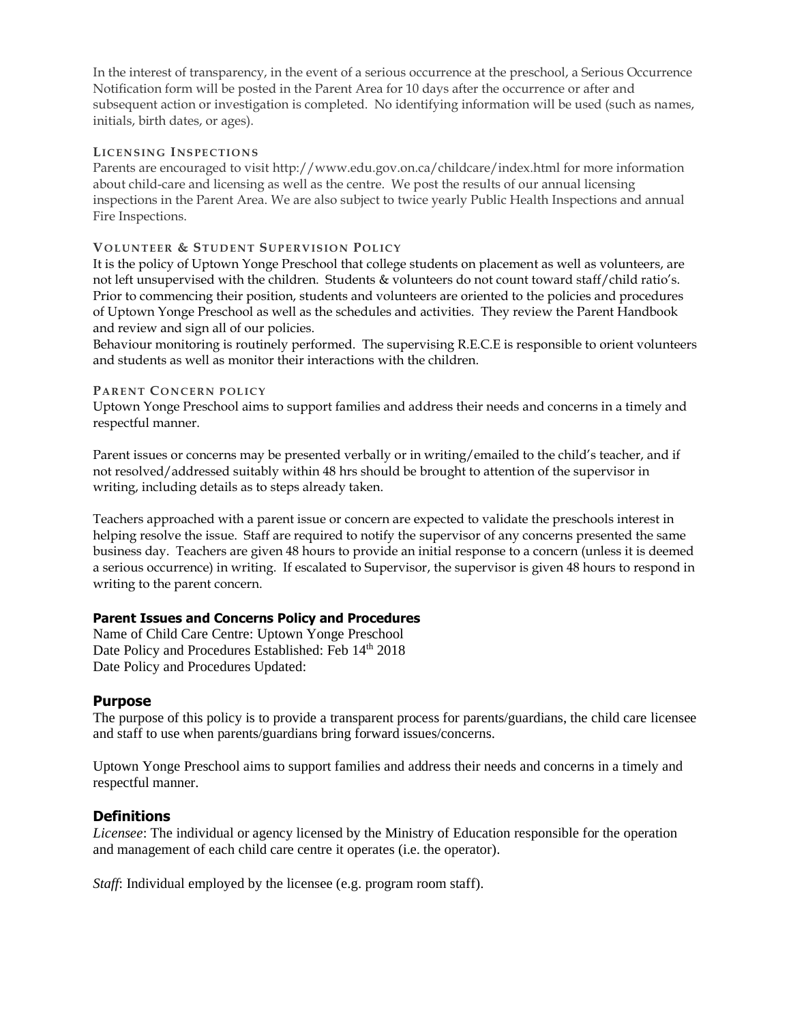In the interest of transparency, in the event of a serious occurrence at the preschool, a Serious Occurrence Notification form will be posted in the Parent Area for 10 days after the occurrence or after and subsequent action or investigation is completed. No identifying information will be used (such as names, initials, birth dates, or ages).

#### **LICE N S IN G INS PE CTIONS**

Parents are encouraged to visit http://www.edu.gov.on.ca/childcare/index.html for more information about child-care and licensing as well as the centre. We post the results of our annual licensing inspections in the Parent Area. We are also subject to twice yearly Public Health Inspections and annual Fire Inspections.

#### **VO L U N TEE R & STU D E N T SU P E RV IS IO N POL ICY**

It is the policy of Uptown Yonge Preschool that college students on placement as well as volunteers, are not left unsupervised with the children. Students & volunteers do not count toward staff/child ratio's. Prior to commencing their position, students and volunteers are oriented to the policies and procedures of Uptown Yonge Preschool as well as the schedules and activities. They review the Parent Handbook and review and sign all of our policies.

Behaviour monitoring is routinely performed. The supervising R.E.C.E is responsible to orient volunteers and students as well as monitor their interactions with the children.

#### **PA RE N T CO N CE RN P OL ICY**

Uptown Yonge Preschool aims to support families and address their needs and concerns in a timely and respectful manner.

Parent issues or concerns may be presented verbally or in writing/emailed to the child's teacher, and if not resolved/addressed suitably within 48 hrs should be brought to attention of the supervisor in writing, including details as to steps already taken.

Teachers approached with a parent issue or concern are expected to validate the preschools interest in helping resolve the issue. Staff are required to notify the supervisor of any concerns presented the same business day. Teachers are given 48 hours to provide an initial response to a concern (unless it is deemed a serious occurrence) in writing. If escalated to Supervisor, the supervisor is given 48 hours to respond in writing to the parent concern.

#### **Parent Issues and Concerns Policy and Procedures**

Name of Child Care Centre: Uptown Yonge Preschool Date Policy and Procedures Established: Feb 14th 2018 Date Policy and Procedures Updated:

#### **Purpose**

The purpose of this policy is to provide a transparent process for parents/guardians, the child care licensee and staff to use when parents/guardians bring forward issues/concerns.

Uptown Yonge Preschool aims to support families and address their needs and concerns in a timely and respectful manner.

#### **Definitions**

*Licensee*: The individual or agency licensed by the Ministry of Education responsible for the operation and management of each child care centre it operates (i.e. the operator).

*Staff*: Individual employed by the licensee (e.g. program room staff).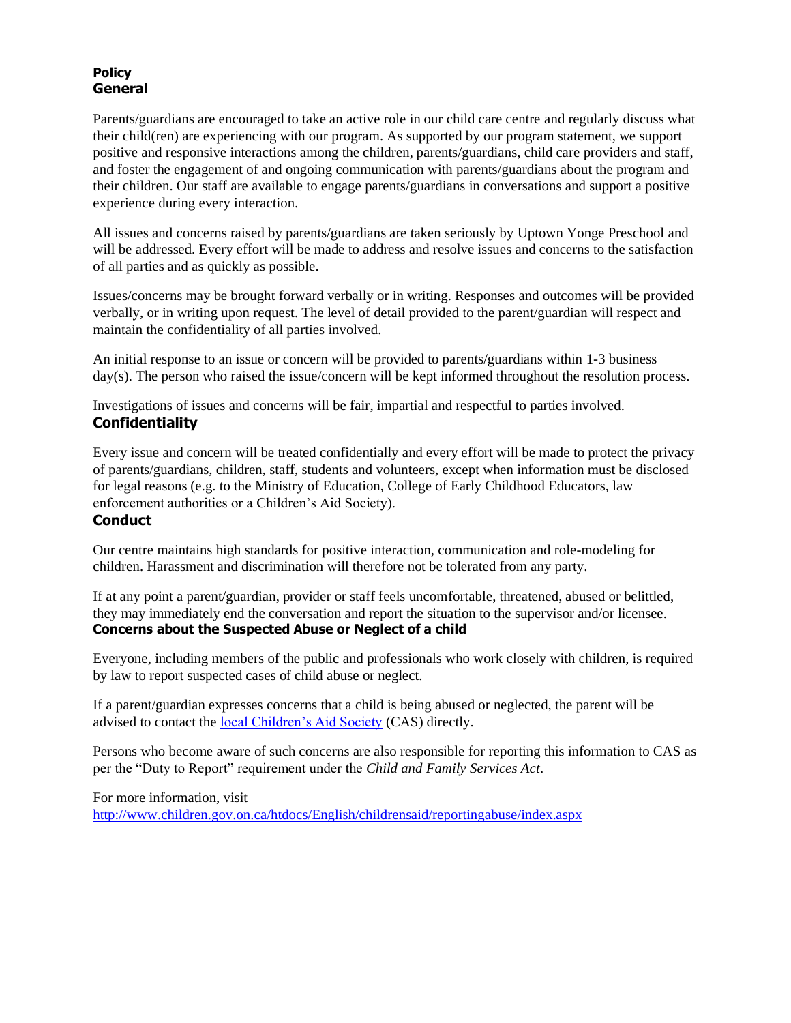# **Policy General**

Parents/guardians are encouraged to take an active role in our child care centre and regularly discuss what their child(ren) are experiencing with our program. As supported by our program statement, we support positive and responsive interactions among the children, parents/guardians, child care providers and staff, and foster the engagement of and ongoing communication with parents/guardians about the program and their children. Our staff are available to engage parents/guardians in conversations and support a positive experience during every interaction.

All issues and concerns raised by parents/guardians are taken seriously by Uptown Yonge Preschool and will be addressed. Every effort will be made to address and resolve issues and concerns to the satisfaction of all parties and as quickly as possible.

Issues/concerns may be brought forward verbally or in writing. Responses and outcomes will be provided verbally, or in writing upon request. The level of detail provided to the parent/guardian will respect and maintain the confidentiality of all parties involved.

An initial response to an issue or concern will be provided to parents/guardians within 1-3 business day(s). The person who raised the issue/concern will be kept informed throughout the resolution process.

Investigations of issues and concerns will be fair, impartial and respectful to parties involved. **Confidentiality**

Every issue and concern will be treated confidentially and every effort will be made to protect the privacy of parents/guardians, children, staff, students and volunteers, except when information must be disclosed for legal reasons (e.g. to the Ministry of Education, College of Early Childhood Educators, law enforcement authorities or a Children's Aid Society).

# **Conduct**

Our centre maintains high standards for positive interaction, communication and role-modeling for children. Harassment and discrimination will therefore not be tolerated from any party.

If at any point a parent/guardian, provider or staff feels uncomfortable, threatened, abused or belittled, they may immediately end the conversation and report the situation to the supervisor and/or licensee. **Concerns about the Suspected Abuse or Neglect of a child**

Everyone, including members of the public and professionals who work closely with children, is required by law to report suspected cases of child abuse or neglect.

If a parent/guardian expresses concerns that a child is being abused or neglected, the parent will be advised to contact the [local Children's Aid Society](http://www.children.gov.on.ca/htdocs/English/childrensaid/reportingabuse/CASLocations.aspx) (CAS) directly.

Persons who become aware of such concerns are also responsible for reporting this information to CAS as per the "Duty to Report" requirement under the *Child and Family Services Act*.

For more information, visit <http://www.children.gov.on.ca/htdocs/English/childrensaid/reportingabuse/index.aspx>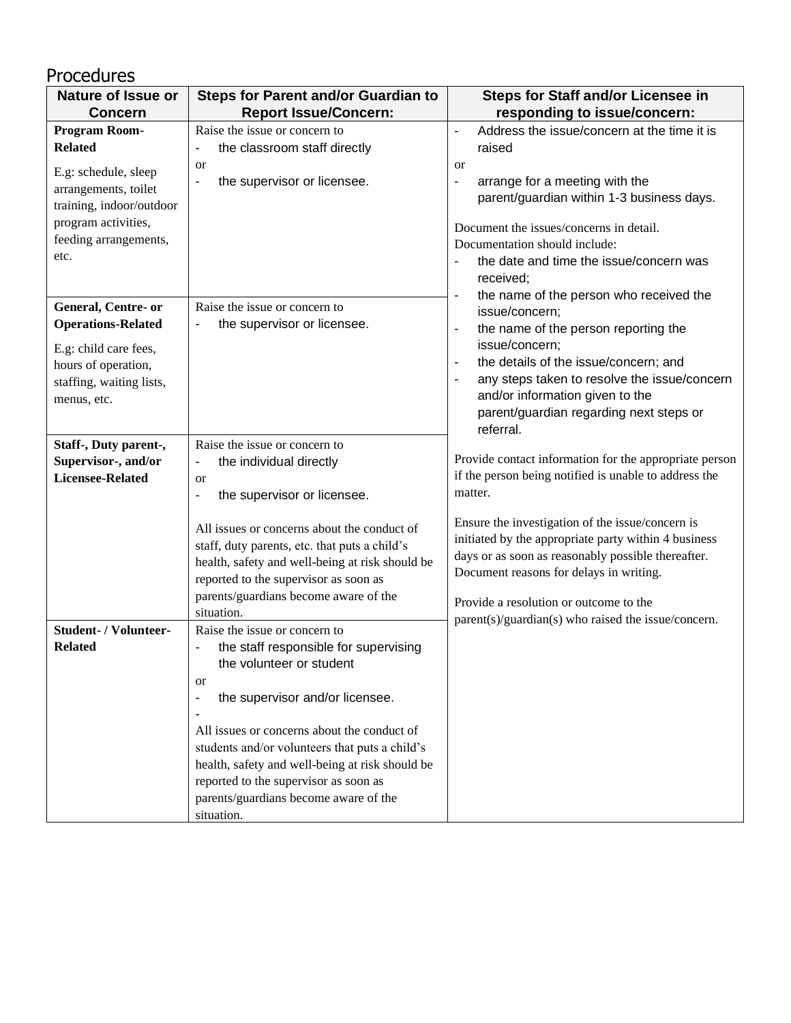| Procedures                                                                                                                                                          |                                                                                                                                                                                                                                                                                                                                                                                                                                        |                                                                                                                                                                                                                                                                                                                                                                                                         |
|---------------------------------------------------------------------------------------------------------------------------------------------------------------------|----------------------------------------------------------------------------------------------------------------------------------------------------------------------------------------------------------------------------------------------------------------------------------------------------------------------------------------------------------------------------------------------------------------------------------------|---------------------------------------------------------------------------------------------------------------------------------------------------------------------------------------------------------------------------------------------------------------------------------------------------------------------------------------------------------------------------------------------------------|
| <b>Nature of Issue or</b>                                                                                                                                           | <b>Steps for Parent and/or Guardian to</b>                                                                                                                                                                                                                                                                                                                                                                                             | <b>Steps for Staff and/or Licensee in</b>                                                                                                                                                                                                                                                                                                                                                               |
| <b>Concern</b>                                                                                                                                                      | <b>Report Issue/Concern:</b>                                                                                                                                                                                                                                                                                                                                                                                                           | responding to issue/concern:                                                                                                                                                                                                                                                                                                                                                                            |
| Program Room-<br><b>Related</b><br>E.g: schedule, sleep<br>arrangements, toilet<br>training, indoor/outdoor<br>program activities,<br>feeding arrangements,<br>etc. | Raise the issue or concern to<br>the classroom staff directly<br>$\qquad \qquad \blacksquare$<br><sub>or</sub><br>the supervisor or licensee.                                                                                                                                                                                                                                                                                          | Address the issue/concern at the time it is<br>$\blacksquare$<br>raised<br><sub>or</sub><br>arrange for a meeting with the<br>$\qquad \qquad \blacksquare$<br>parent/guardian within 1-3 business days.<br>Document the issues/concerns in detail.<br>Documentation should include:<br>the date and time the issue/concern was<br>received;                                                             |
| General, Centre- or<br><b>Operations-Related</b><br>E.g: child care fees,<br>hours of operation,<br>staffing, waiting lists,<br>menus, etc.                         | Raise the issue or concern to<br>the supervisor or licensee.<br>$\qquad \qquad \blacksquare$                                                                                                                                                                                                                                                                                                                                           | the name of the person who received the<br>$\qquad \qquad \blacksquare$<br>issue/concern;<br>the name of the person reporting the<br>$\blacksquare$<br>issue/concern;<br>the details of the issue/concern; and<br>$\blacksquare$<br>any steps taken to resolve the issue/concern<br>$\overline{\phantom{a}}$<br>and/or information given to the<br>parent/guardian regarding next steps or<br>referral. |
| Staff-, Duty parent-,<br>Supervisor-, and/or<br><b>Licensee-Related</b>                                                                                             | Raise the issue or concern to<br>the individual directly<br>۰<br><sub>or</sub><br>the supervisor or licensee.<br>$\qquad \qquad \blacksquare$<br>All issues or concerns about the conduct of<br>staff, duty parents, etc. that puts a child's<br>health, safety and well-being at risk should be<br>reported to the supervisor as soon as<br>parents/guardians become aware of the<br>situation.                                       | Provide contact information for the appropriate person<br>if the person being notified is unable to address the<br>matter.<br>Ensure the investigation of the issue/concern is<br>initiated by the appropriate party within 4 business<br>days or as soon as reasonably possible thereafter.<br>Document reasons for delays in writing.<br>Provide a resolution or outcome to the                       |
| <b>Student- / Volunteer-</b><br><b>Related</b>                                                                                                                      | Raise the issue or concern to<br>the staff responsible for supervising<br>the volunteer or student<br><sub>or</sub><br>the supervisor and/or licensee.<br>$\overline{\phantom{a}}$<br>All issues or concerns about the conduct of<br>students and/or volunteers that puts a child's<br>health, safety and well-being at risk should be<br>reported to the supervisor as soon as<br>parents/guardians become aware of the<br>situation. | parent(s)/guardian(s) who raised the issue/concern.                                                                                                                                                                                                                                                                                                                                                     |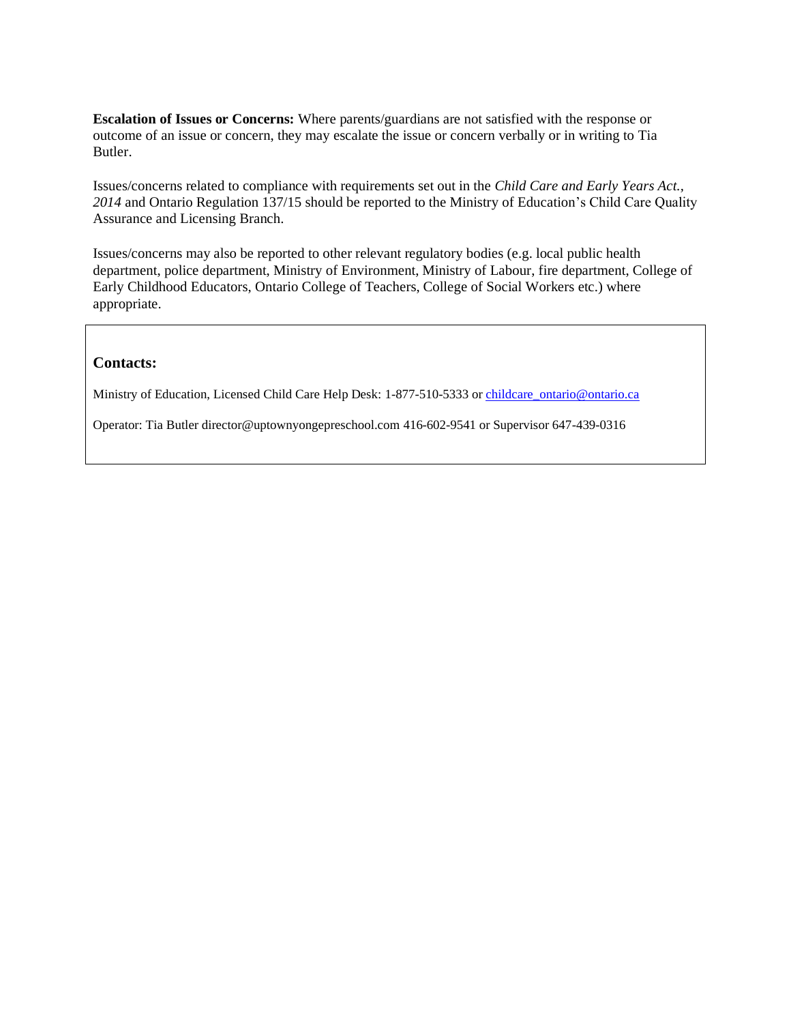**Escalation of Issues or Concerns:** Where parents/guardians are not satisfied with the response or outcome of an issue or concern, they may escalate the issue or concern verbally or in writing to Tia Butler.

Issues/concerns related to compliance with requirements set out in the *Child Care and Early Years Act., 2014* and Ontario Regulation 137/15 should be reported to the Ministry of Education's Child Care Quality Assurance and Licensing Branch.

Issues/concerns may also be reported to other relevant regulatory bodies (e.g. local public health department, police department, Ministry of Environment, Ministry of Labour, fire department, College of Early Childhood Educators, Ontario College of Teachers, College of Social Workers etc.) where appropriate.

### **Contacts:**

Ministry of Education, Licensed Child Care Help Desk: 1-877-510-5333 or childcare ontario@ontario.ca

Operator: Tia Butler director@uptownyongepreschool.com 416-602-9541 or Supervisor 647-439-0316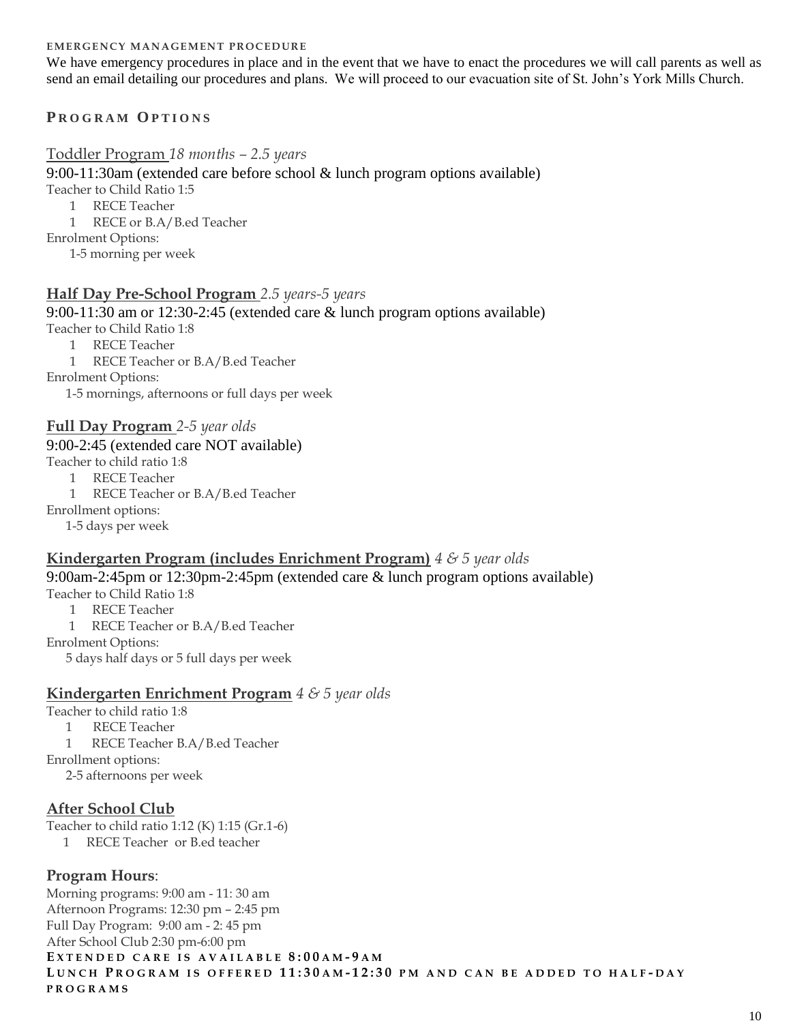#### **EMERGENCY MANAGEMENT PROCEDURE**

We have emergency procedures in place and in the event that we have to enact the procedures we will call parents as well as send an email detailing our procedures and plans. We will proceed to our evacuation site of St. John's York Mills Church.

# **P R O G R A M O P T I O N S**

### Toddler Program *18 months – 2.5 years*

9:00-11:30am (extended care before school & lunch program options available)

Teacher to Child Ratio 1:5

1 RECE Teacher

1 RECE or B.A/B.ed Teacher

Enrolment Options:

1-5 morning per week

# **Half Day Pre-School Program** *2.5 years-5 years*

9:00-11:30 am or 12:30-2:45 (extended care & lunch program options available) Teacher to Child Ratio 1:8

1 RECE Teacher

1 RECE Teacher or B.A/B.ed Teacher

Enrolment Options:

1-5 mornings, afternoons or full days per week

### **Full Day Program** *2-5 year olds*

#### 9:00-2:45 (extended care NOT available)

Teacher to child ratio 1:8

- 1 RECE Teacher
- 1 RECE Teacher or B.A/B.ed Teacher

Enrollment options:

1-5 days per week

### **Kindergarten Program (includes Enrichment Program)** *4 & 5 year olds*

#### 9:00am-2:45pm or 12:30pm-2:45pm (extended care & lunch program options available)

Teacher to Child Ratio 1:8

- 1 RECE Teacher
- 1 RECE Teacher or B.A/B.ed Teacher

Enrolment Options:

5 days half days or 5 full days per week

#### **Kindergarten Enrichment Program** *4 & 5 year olds*

Teacher to child ratio 1:8

1 RECE Teacher

1 RECE Teacher B.A/B.ed Teacher

Enrollment options:

2-5 afternoons per week

# **After School Club**

Teacher to child ratio 1:12 (K) 1:15 (Gr.1-6)

1 RECE Teacher or B.ed teacher

# **Program Hours**:

Morning programs: 9:00 am - 11: 30 am Afternoon Programs: 12:30 pm – 2:45 pm Full Day Program: 9:00 am - 2: 45 pm After School Club 2:30 pm-6:00 pm **E X T E N D E D C A R E I S A V A I L A B L E 8:0 0 A M - 9 A M** LUNCH PROGRAM IS OFFERED 11:30AM-12:30 PM AND CAN BE ADDED TO HALF-DAY **P R O G R A M S**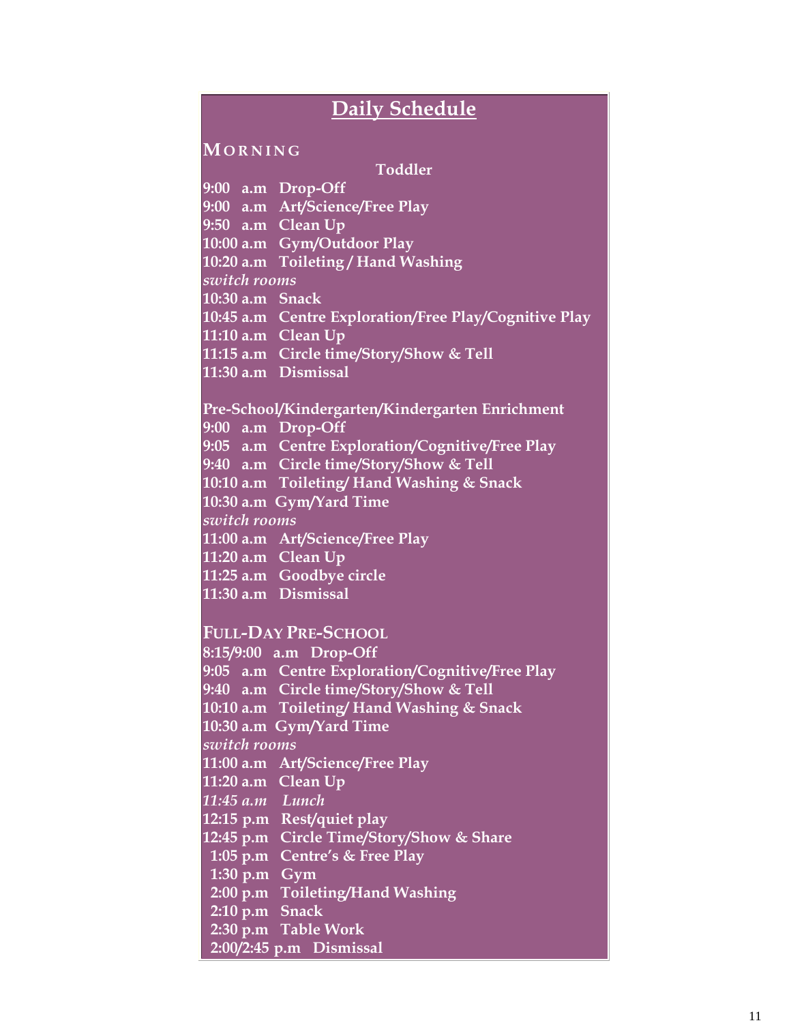# **Daily Schedule**

#### **MO R N I N G**

**Toddler** 

**9:00 a.m Drop-Off 9:00 a.m Art/Science/Free Play 9:50 a.m Clean Up 10:00 a.m Gym/Outdoor Play 10:20 a.m Toileting / Hand Washing** *switch rooms*  **10:30 a.m Snack 10:45 a.m Centre Exploration/Free Play/Cognitive Play 11:10 a.m Clean Up 11:15 a.m Circle time/Story/Show & Tell 11:30 a.m Dismissal** 

**Pre-School/Kindergarten/Kindergarten Enrichment 9:00 a.m Drop-Off 9:05 a.m Centre Exploration/Cognitive/Free Play 9:40 a.m Circle time/Story/Show & Tell 10:10 a.m Toileting/ Hand Washing & Snack 10:30 a.m Gym/Yard Time** *switch rooms*  **11:00 a.m Art/Science/Free Play 11:20 a.m Clean Up 11:25 a.m Goodbye circle 11:30 a.m Dismissal** 

**FULL-DAY PRE-SCHOOL**

**8:15/9:00 a.m Drop-Off 9:05 a.m Centre Exploration/Cognitive/Free Play 9:40 a.m Circle time/Story/Show & Tell 10:10 a.m Toileting/ Hand Washing & Snack 10:30 a.m Gym/Yard Time** *switch rooms*  **11:00 a.m Art/Science/Free Play 11:20 a.m Clean Up** *11:45 a.m Lunch* **12:15 p.m Rest/quiet play 12:45 p.m Circle Time/Story/Show & Share 1:05 p.m Centre's & Free Play 1:30 p.m Gym 2:00 p.m Toileting/Hand Washing 2:10 p.m Snack 2:30 p.m Table Work 2:00/2:45 p.m Dismissal**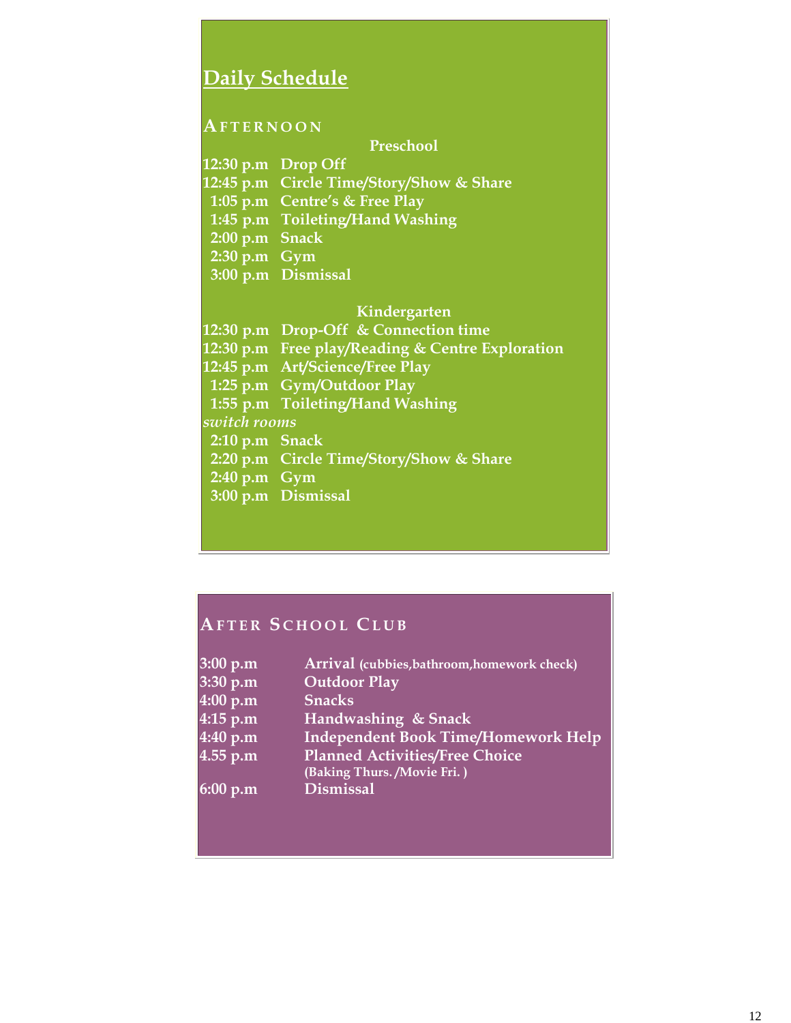# **Daily Schedule**

### **AF T E R N O O N**

**Preschool** 

**12:30 p.m Drop Off 12:45 p.m Circle Time/Story/Show & Share 1:05 p.m Centre's & Free Play 1:45 p.m Toileting/Hand Washing 2:00 p.m Snack 2:30 p.m Gym 3:00 p.m Dismissal**

#### **Kindergarten**

**12:30 p.m Drop-Off & Connection time 12:30 p.m Free play/Reading & Centre Exploration 12:45 p.m Art/Science/Free Play 1:25 p.m Gym/Outdoor Play 1:55 p.m Toileting/Hand Washing**  *switch rooms*   **2:10 p.m Snack 2:20 p.m Circle Time/Story/Show & Share 2:40 p.m Gym 3:00 p.m Dismissal** 

# **AF T E R S C H O O L CL U B**

| 3:00 p.m | Arrival (cubbies, bathroom, homework check) |
|----------|---------------------------------------------|
| 3:30 p.m | <b>Outdoor Play</b>                         |
| 4:00 p.m | <b>Snacks</b>                               |
| 4:15 p.m | Handwashing & Snack                         |
| 4:40 p.m | <b>Independent Book Time/Homework Help</b>  |
| 4.55 p.m | <b>Planned Activities/Free Choice</b>       |
|          | (Baking Thurs. / Movie Fri.)                |
| 6:00 p.m | <b>Dismissal</b>                            |
|          |                                             |
|          |                                             |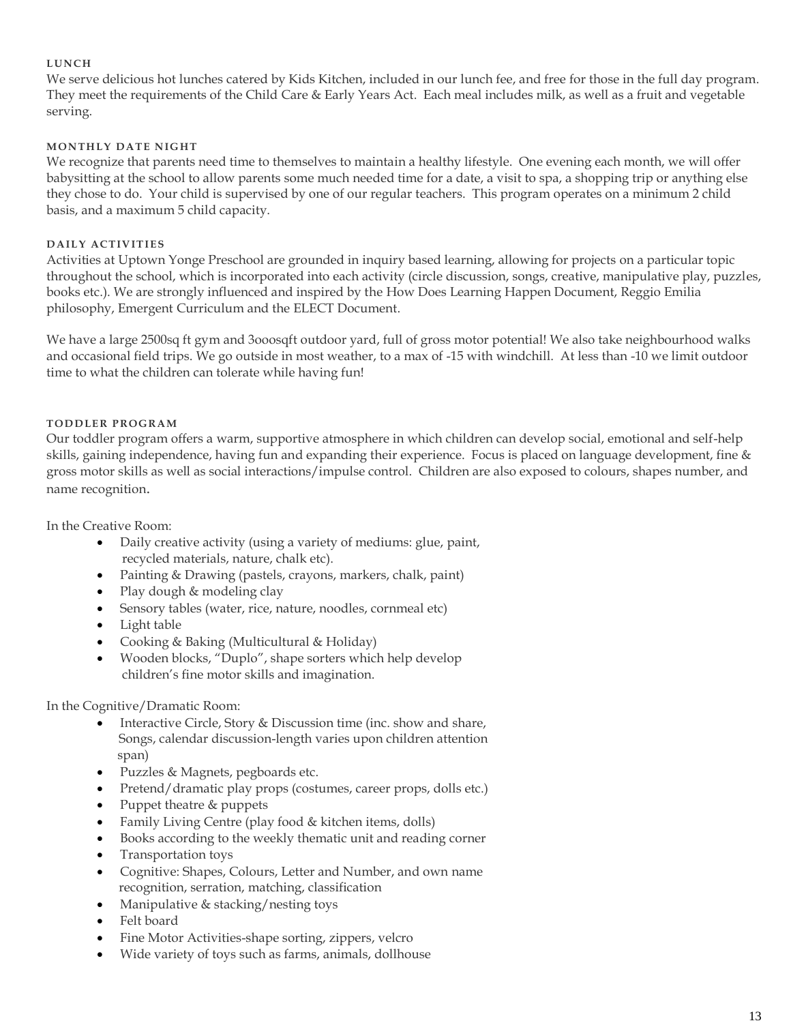#### **L U N CH**

We serve delicious hot lunches catered by Kids Kitchen, included in our lunch fee, and free for those in the full day program. They meet the requirements of the Child Care & Early Years Act. Each meal includes milk, as well as a fruit and vegetable serving.

#### **MO N TH L Y D A TE N IG H T**

We recognize that parents need time to themselves to maintain a healthy lifestyle. One evening each month, we will offer babysitting at the school to allow parents some much needed time for a date, a visit to spa, a shopping trip or anything else they chose to do. Your child is supervised by one of our regular teachers. This program operates on a minimum 2 child basis, and a maximum 5 child capacity.

#### **D A IL Y A CTIV IT IE S**

Activities at Uptown Yonge Preschool are grounded in inquiry based learning, allowing for projects on a particular topic throughout the school, which is incorporated into each activity (circle discussion, songs, creative, manipulative play, puzzles, books etc.). We are strongly influenced and inspired by the How Does Learning Happen Document, Reggio Emilia philosophy, Emergent Curriculum and the ELECT Document.

We have a large 2500sq ft gym and 3ooosqft outdoor yard, full of gross motor potential! We also take neighbourhood walks and occasional field trips. We go outside in most weather, to a max of -15 with windchill. At less than -10 we limit outdoor time to what the children can tolerate while having fun!

#### **TODDLER PROGRAM**

Our toddler program offers a warm, supportive atmosphere in which children can develop social, emotional and self-help skills, gaining independence, having fun and expanding their experience. Focus is placed on language development, fine & gross motor skills as well as social interactions/impulse control. Children are also exposed to colours, shapes number, and name recognition.

In the Creative Room:

- Daily creative activity (using a variety of mediums: glue, paint, recycled materials, nature, chalk etc).
- Painting & Drawing (pastels, crayons, markers, chalk, paint)
- Play dough & modeling clay
- Sensory tables (water, rice, nature, noodles, cornmeal etc)
- Light table
- Cooking & Baking (Multicultural & Holiday)
- Wooden blocks, "Duplo", shape sorters which help develop children's fine motor skills and imagination.

In the Cognitive/Dramatic Room:

- Interactive Circle, Story & Discussion time (inc. show and share, Songs, calendar discussion-length varies upon children attention span)
- Puzzles & Magnets, pegboards etc.
- Pretend/dramatic play props (costumes, career props, dolls etc.)
- Puppet theatre & puppets
- Family Living Centre (play food & kitchen items, dolls)
- Books according to the weekly thematic unit and reading corner
- Transportation toys
- Cognitive: Shapes, Colours, Letter and Number, and own name recognition, serration, matching, classification
- Manipulative & stacking/nesting toys
- Felt board
- Fine Motor Activities-shape sorting, zippers, velcro
- Wide variety of toys such as farms, animals, dollhouse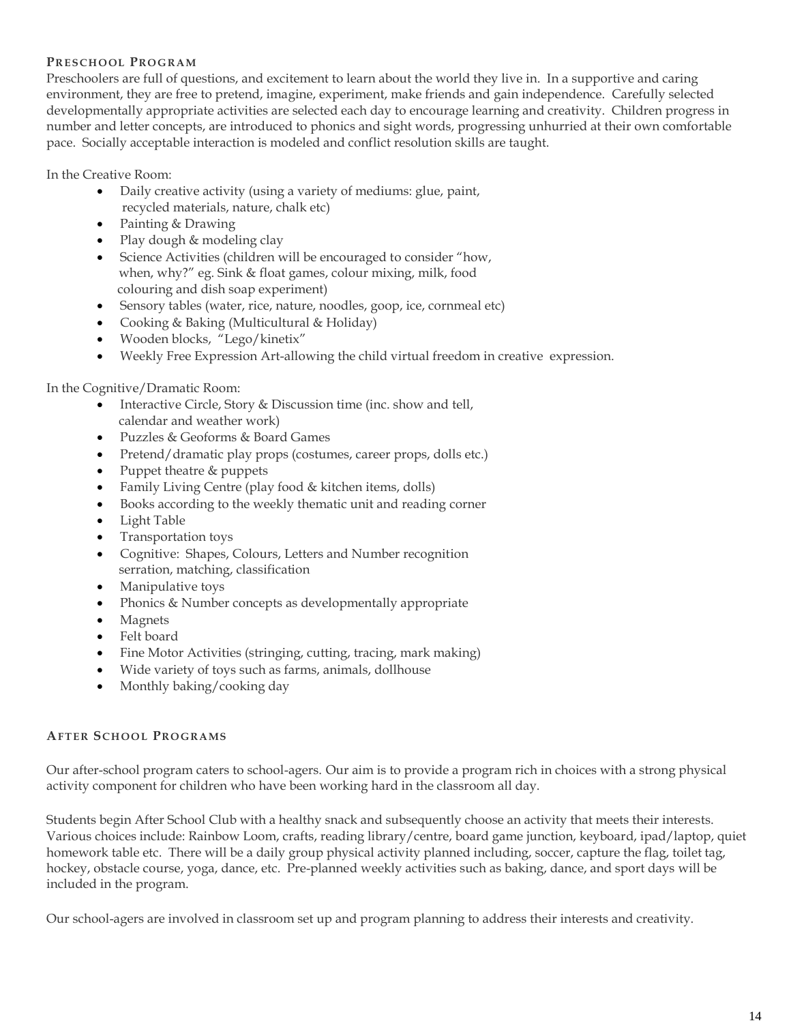#### **PRE S CH O OL PRO G RA M**

Preschoolers are full of questions, and excitement to learn about the world they live in. In a supportive and caring environment, they are free to pretend, imagine, experiment, make friends and gain independence. Carefully selected developmentally appropriate activities are selected each day to encourage learning and creativity. Children progress in number and letter concepts, are introduced to phonics and sight words, progressing unhurried at their own comfortable pace. Socially acceptable interaction is modeled and conflict resolution skills are taught.

In the Creative Room:

- Daily creative activity (using a variety of mediums: glue, paint, recycled materials, nature, chalk etc)
- Painting & Drawing
- Play dough & modeling clay
- Science Activities (children will be encouraged to consider "how, when, why?" eg. Sink & float games, colour mixing, milk, food colouring and dish soap experiment)
- Sensory tables (water, rice, nature, noodles, goop, ice, cornmeal etc)
- Cooking & Baking (Multicultural & Holiday)
- Wooden blocks, "Lego/kinetix"
- Weekly Free Expression Art-allowing the child virtual freedom in creative expression.

### In the Cognitive/Dramatic Room:

- Interactive Circle, Story & Discussion time (inc. show and tell, calendar and weather work)
- Puzzles & Geoforms & Board Games
- Pretend/dramatic play props (costumes, career props, dolls etc.)
- Puppet theatre & puppets
- Family Living Centre (play food & kitchen items, dolls)
- Books according to the weekly thematic unit and reading corner
- Light Table
- Transportation toys
- Cognitive: Shapes, Colours, Letters and Number recognition serration, matching, classification
- Manipulative toys
- Phonics & Number concepts as developmentally appropriate
- Magnets
- Felt board
- Fine Motor Activities (stringing, cutting, tracing, mark making)
- Wide variety of toys such as farms, animals, dollhouse
- Monthly baking/cooking day

#### **AF TE R SCH O O L PRO G RA MS**

Our after-school program caters to school-agers. Our aim is to provide a program rich in choices with a strong physical activity component for children who have been working hard in the classroom all day.

Students begin After School Club with a healthy snack and subsequently choose an activity that meets their interests. Various choices include: Rainbow Loom, crafts, reading library/centre, board game junction, keyboard, ipad/laptop, quiet homework table etc. There will be a daily group physical activity planned including, soccer, capture the flag, toilet tag, hockey, obstacle course, yoga, dance, etc. Pre-planned weekly activities such as baking, dance, and sport days will be included in the program.

Our school-agers are involved in classroom set up and program planning to address their interests and creativity.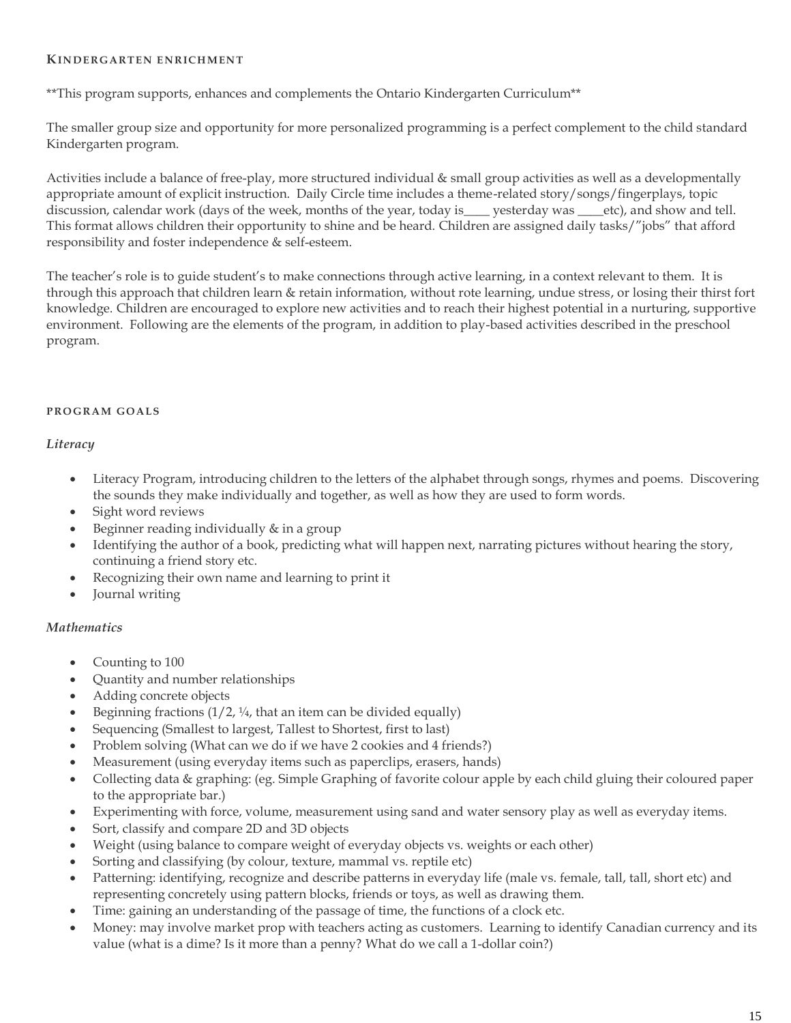#### **KINDERGARTEN ENRICHMENT**

\*\*This program supports, enhances and complements the Ontario Kindergarten Curriculum\*\*

The smaller group size and opportunity for more personalized programming is a perfect complement to the child standard Kindergarten program.

Activities include a balance of free-play, more structured individual & small group activities as well as a developmentally appropriate amount of explicit instruction. Daily Circle time includes a theme-related story/songs/fingerplays, topic discussion, calendar work (days of the week, months of the year, today is\_\_\_\_ yesterday was \_\_\_etc), and show and tell. This format allows children their opportunity to shine and be heard. Children are assigned daily tasks/"jobs" that afford responsibility and foster independence & self-esteem.

The teacher's role is to guide student's to make connections through active learning, in a context relevant to them. It is through this approach that children learn & retain information, without rote learning, undue stress, or losing their thirst fort knowledge. Children are encouraged to explore new activities and to reach their highest potential in a nurturing, supportive environment. Following are the elements of the program, in addition to play-based activities described in the preschool program.

#### **PROGRAM GOALS**

#### *Literacy*

- Literacy Program, introducing children to the letters of the alphabet through songs, rhymes and poems. Discovering the sounds they make individually and together, as well as how they are used to form words.
- Sight word reviews
- Beginner reading individually & in a group
- Identifying the author of a book, predicting what will happen next, narrating pictures without hearing the story, continuing a friend story etc.
- Recognizing their own name and learning to print it
- Journal writing

#### *Mathematics*

- Counting to 100
- Quantity and number relationships
- Adding concrete objects
- Beginning fractions  $(1/2, \frac{1}{4})$ , that an item can be divided equally)
- Sequencing (Smallest to largest, Tallest to Shortest, first to last)
- Problem solving (What can we do if we have 2 cookies and 4 friends?)
- Measurement (using everyday items such as paperclips, erasers, hands)
- Collecting data & graphing: (eg. Simple Graphing of favorite colour apple by each child gluing their coloured paper to the appropriate bar.)
- Experimenting with force, volume, measurement using sand and water sensory play as well as everyday items.
- Sort, classify and compare 2D and 3D objects
- Weight (using balance to compare weight of everyday objects vs. weights or each other)
- Sorting and classifying (by colour, texture, mammal vs. reptile etc)
- Patterning: identifying, recognize and describe patterns in everyday life (male vs. female, tall, tall, short etc) and representing concretely using pattern blocks, friends or toys, as well as drawing them.
- Time: gaining an understanding of the passage of time, the functions of a clock etc.
- Money: may involve market prop with teachers acting as customers. Learning to identify Canadian currency and its value (what is a dime? Is it more than a penny? What do we call a 1-dollar coin?)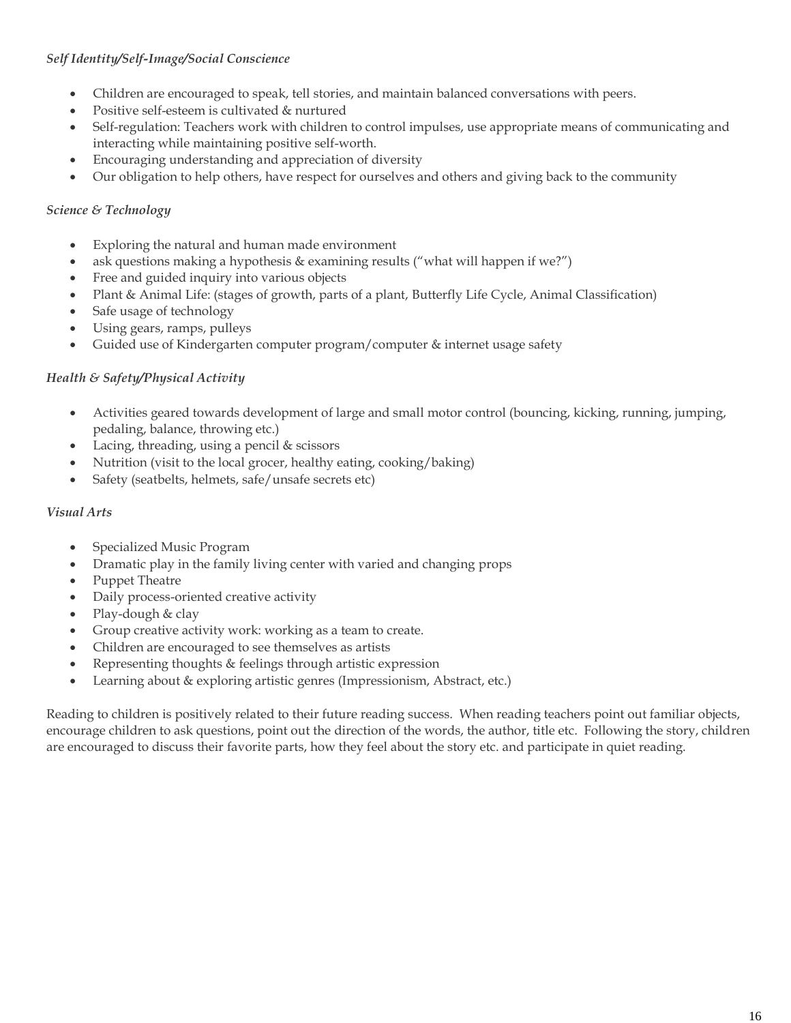# *Self Identity/Self-Image/Social Conscience*

- Children are encouraged to speak, tell stories, and maintain balanced conversations with peers.
- Positive self-esteem is cultivated & nurtured
- Self-regulation: Teachers work with children to control impulses, use appropriate means of communicating and interacting while maintaining positive self-worth.
- Encouraging understanding and appreciation of diversity
- Our obligation to help others, have respect for ourselves and others and giving back to the community

### *Science & Technology*

- Exploring the natural and human made environment
- ask questions making a hypothesis & examining results ("what will happen if we?")
- Free and guided inquiry into various objects
- Plant & Animal Life: (stages of growth, parts of a plant, Butterfly Life Cycle, Animal Classification)
- Safe usage of technology
- Using gears, ramps, pulleys
- Guided use of Kindergarten computer program/computer & internet usage safety

### *Health & Safety/Physical Activity*

- Activities geared towards development of large and small motor control (bouncing, kicking, running, jumping, pedaling, balance, throwing etc.)
- Lacing, threading, using a pencil & scissors
- Nutrition (visit to the local grocer, healthy eating, cooking/baking)
- Safety (seatbelts, helmets, safe/unsafe secrets etc)

#### *Visual Arts*

- Specialized Music Program
- Dramatic play in the family living center with varied and changing props
- Puppet Theatre
- Daily process-oriented creative activity
- Play-dough & clay
- Group creative activity work: working as a team to create.
- Children are encouraged to see themselves as artists
- Representing thoughts & feelings through artistic expression
- Learning about & exploring artistic genres (Impressionism, Abstract, etc.)

Reading to children is positively related to their future reading success. When reading teachers point out familiar objects, encourage children to ask questions, point out the direction of the words, the author, title etc. Following the story, children are encouraged to discuss their favorite parts, how they feel about the story etc. and participate in quiet reading.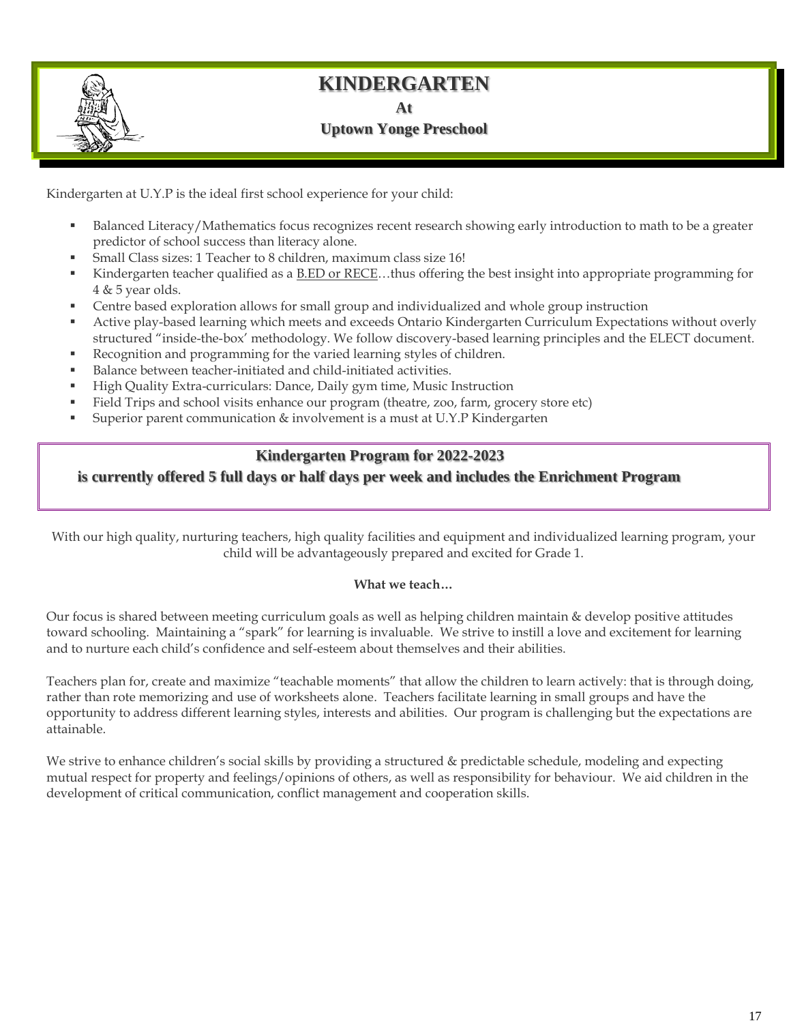# **KINDERGARTEN**

**At**

# **Uptown Yonge Preschool**

Kindergarten at U.Y.P is the ideal first school experience for your child:

- Balanced Literacy/Mathematics focus recognizes recent research showing early introduction to math to be a greater predictor of school success than literacy alone.
- Small Class sizes: 1 Teacher to 8 children, maximum class size 16!
- Kindergarten teacher qualified as a B.ED or RECE...thus offering the best insight into appropriate programming for 4 & 5 year olds.
- Centre based exploration allows for small group and individualized and whole group instruction
- Active play-based learning which meets and exceeds Ontario Kindergarten Curriculum Expectations without overly structured "inside-the-box' methodology. We follow discovery-based learning principles and the ELECT document.
- Recognition and programming for the varied learning styles of children.
- Balance between teacher-initiated and child-initiated activities.
- High Quality Extra-curriculars: Dance, Daily gym time, Music Instruction
- Field Trips and school visits enhance our program (theatre, zoo, farm, grocery store etc)
- Superior parent communication & involvement is a must at U.Y.P Kindergarten

# **Kindergarten Program for 2022-2023**

 **is currently offered 5 full days or half days per week and includes the Enrichment Program**

With our high quality, nurturing teachers, high quality facilities and equipment and individualized learning program, your child will be advantageously prepared and excited for Grade 1.

#### **What we teach…**

Our focus is shared between meeting curriculum goals as well as helping children maintain & develop positive attitudes toward schooling. Maintaining a "spark" for learning is invaluable. We strive to instill a love and excitement for learning and to nurture each child's confidence and self-esteem about themselves and their abilities.

Teachers plan for, create and maximize "teachable moments" that allow the children to learn actively: that is through doing, rather than rote memorizing and use of worksheets alone. Teachers facilitate learning in small groups and have the opportunity to address different learning styles, interests and abilities. Our program is challenging but the expectations are attainable.

We strive to enhance children's social skills by providing a structured & predictable schedule, modeling and expecting mutual respect for property and feelings/opinions of others, as well as responsibility for behaviour. We aid children in the development of critical communication, conflict management and cooperation skills.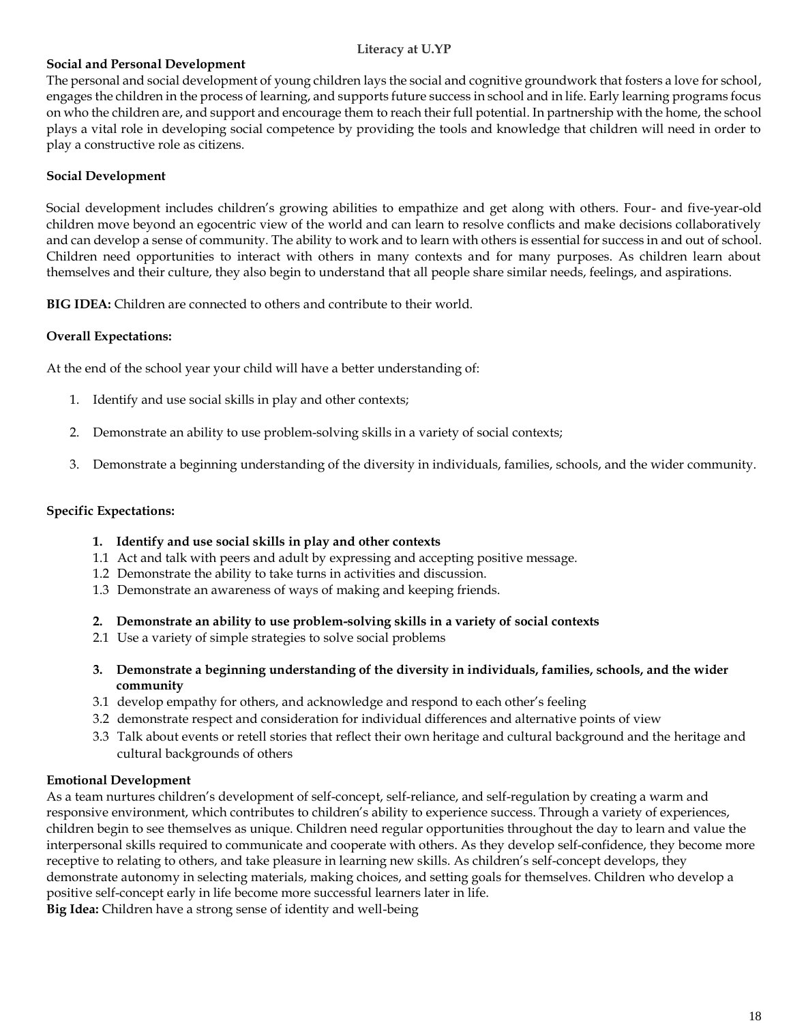#### **Literacy at U.YP**

### **Social and Personal Development**

The personal and social development of young children lays the social and cognitive groundwork that fosters a love for school, engages the children in the process of learning, and supports future success in school and in life. Early learning programs focus on who the children are, and support and encourage them to reach their full potential. In partnership with the home, the school plays a vital role in developing social competence by providing the tools and knowledge that children will need in order to play a constructive role as citizens.

#### **Social Development**

Social development includes children's growing abilities to empathize and get along with others. Four- and five-year-old children move beyond an egocentric view of the world and can learn to resolve conflicts and make decisions collaboratively and can develop a sense of community. The ability to work and to learn with others is essential for success in and out of school. Children need opportunities to interact with others in many contexts and for many purposes. As children learn about themselves and their culture, they also begin to understand that all people share similar needs, feelings, and aspirations.

**BIG IDEA:** Children are connected to others and contribute to their world.

### **Overall Expectations:**

At the end of the school year your child will have a better understanding of:

- 1. Identify and use social skills in play and other contexts;
- 2. Demonstrate an ability to use problem-solving skills in a variety of social contexts;
- 3. Demonstrate a beginning understanding of the diversity in individuals, families, schools, and the wider community.

### **Specific Expectations:**

#### **1. Identify and use social skills in play and other contexts**

- 1.1 Act and talk with peers and adult by expressing and accepting positive message.
- 1.2 Demonstrate the ability to take turns in activities and discussion.
- 1.3 Demonstrate an awareness of ways of making and keeping friends.
- **2. Demonstrate an ability to use problem-solving skills in a variety of social contexts**
- 2.1 Use a variety of simple strategies to solve social problems
- **3. Demonstrate a beginning understanding of the diversity in individuals, families, schools, and the wider community**
- 3.1 develop empathy for others, and acknowledge and respond to each other's feeling
- 3.2 demonstrate respect and consideration for individual differences and alternative points of view
- 3.3 Talk about events or retell stories that reflect their own heritage and cultural background and the heritage and cultural backgrounds of others

#### **Emotional Development**

As a team nurtures children's development of self-concept, self-reliance, and self-regulation by creating a warm and responsive environment, which contributes to children's ability to experience success. Through a variety of experiences, children begin to see themselves as unique. Children need regular opportunities throughout the day to learn and value the interpersonal skills required to communicate and cooperate with others. As they develop self-confidence, they become more receptive to relating to others, and take pleasure in learning new skills. As children's self-concept develops, they demonstrate autonomy in selecting materials, making choices, and setting goals for themselves. Children who develop a positive self-concept early in life become more successful learners later in life. **Big Idea:** Children have a strong sense of identity and well-being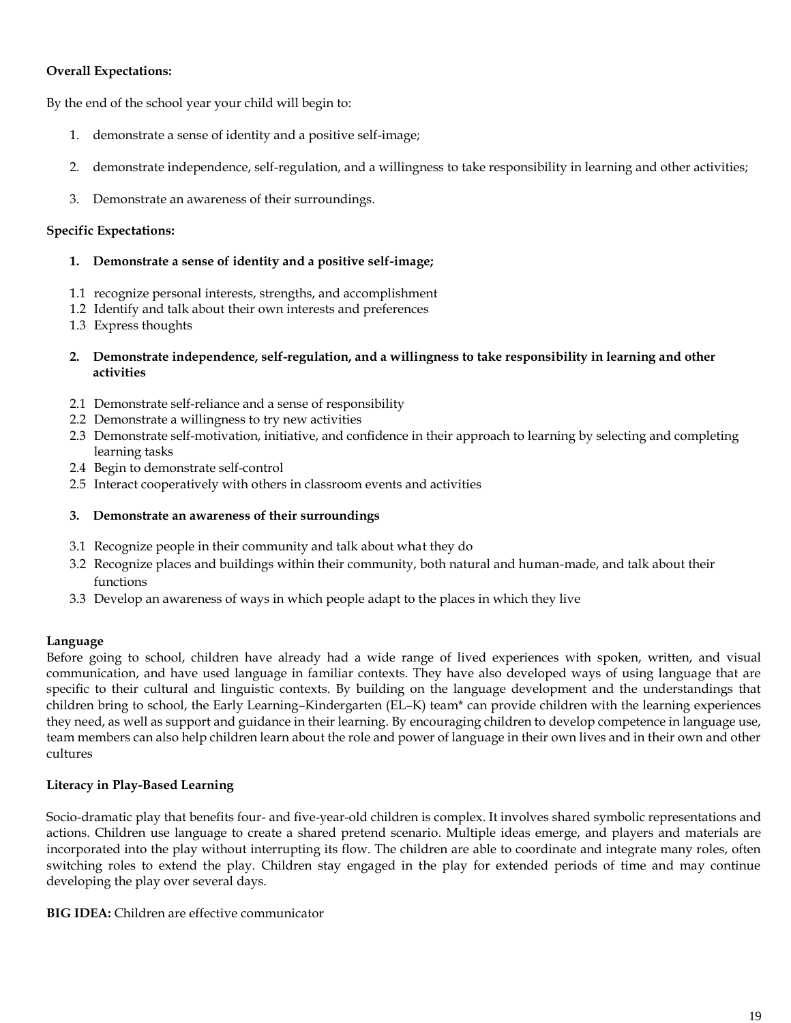### **Overall Expectations:**

By the end of the school year your child will begin to:

- 1. demonstrate a sense of identity and a positive self-image;
- 2. demonstrate independence, self-regulation, and a willingness to take responsibility in learning and other activities;
- 3. Demonstrate an awareness of their surroundings.

#### **Specific Expectations:**

- **1. Demonstrate a sense of identity and a positive self-image;**
- 1.1 recognize personal interests, strengths, and accomplishment
- 1.2 Identify and talk about their own interests and preferences
- 1.3 Express thoughts
- **2. Demonstrate independence, self-regulation, and a willingness to take responsibility in learning and other activities**
- 2.1 Demonstrate self-reliance and a sense of responsibility
- 2.2 Demonstrate a willingness to try new activities
- 2.3 Demonstrate self-motivation, initiative, and confidence in their approach to learning by selecting and completing learning tasks
- 2.4 Begin to demonstrate self-control
- 2.5 Interact cooperatively with others in classroom events and activities
- **3. Demonstrate an awareness of their surroundings**
- 3.1 Recognize people in their community and talk about what they do
- 3.2 Recognize places and buildings within their community, both natural and human-made, and talk about their functions
- 3.3 Develop an awareness of ways in which people adapt to the places in which they live

#### **Language**

Before going to school, children have already had a wide range of lived experiences with spoken, written, and visual communication, and have used language in familiar contexts. They have also developed ways of using language that are specific to their cultural and linguistic contexts. By building on the language development and the understandings that children bring to school, the Early Learning–Kindergarten (EL–K) team\* can provide children with the learning experiences they need, as well as support and guidance in their learning. By encouraging children to develop competence in language use, team members can also help children learn about the role and power of language in their own lives and in their own and other cultures

### **Literacy in Play-Based Learning**

Socio-dramatic play that benefits four- and five-year-old children is complex. It involves shared symbolic representations and actions. Children use language to create a shared pretend scenario. Multiple ideas emerge, and players and materials are incorporated into the play without interrupting its flow. The children are able to coordinate and integrate many roles, often switching roles to extend the play. Children stay engaged in the play for extended periods of time and may continue developing the play over several days.

**BIG IDEA:** Children are effective communicator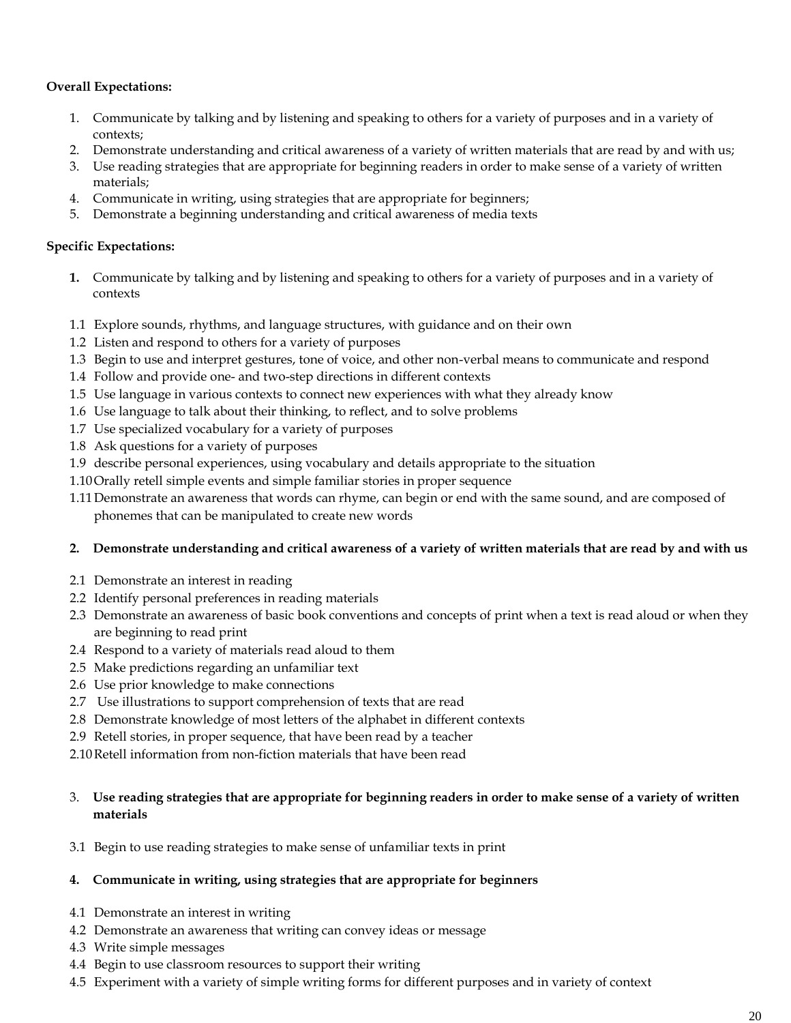### **Overall Expectations:**

- 1. Communicate by talking and by listening and speaking to others for a variety of purposes and in a variety of contexts;
- 2. Demonstrate understanding and critical awareness of a variety of written materials that are read by and with us;
- 3. Use reading strategies that are appropriate for beginning readers in order to make sense of a variety of written materials;
- 4. Communicate in writing, using strategies that are appropriate for beginners;
- 5. Demonstrate a beginning understanding and critical awareness of media texts

#### **Specific Expectations:**

- **1.** Communicate by talking and by listening and speaking to others for a variety of purposes and in a variety of contexts
- 1.1 Explore sounds, rhythms, and language structures, with guidance and on their own
- 1.2 Listen and respond to others for a variety of purposes
- 1.3 Begin to use and interpret gestures, tone of voice, and other non-verbal means to communicate and respond
- 1.4 Follow and provide one- and two-step directions in different contexts
- 1.5 Use language in various contexts to connect new experiences with what they already know
- 1.6 Use language to talk about their thinking, to reflect, and to solve problems
- 1.7 Use specialized vocabulary for a variety of purposes
- 1.8 Ask questions for a variety of purposes
- 1.9 describe personal experiences, using vocabulary and details appropriate to the situation
- 1.10Orally retell simple events and simple familiar stories in proper sequence
- 1.11Demonstrate an awareness that words can rhyme, can begin or end with the same sound, and are composed of phonemes that can be manipulated to create new words

#### **2. Demonstrate understanding and critical awareness of a variety of written materials that are read by and with us**

- 2.1 Demonstrate an interest in reading
- 2.2 Identify personal preferences in reading materials
- 2.3 Demonstrate an awareness of basic book conventions and concepts of print when a text is read aloud or when they are beginning to read print
- 2.4 Respond to a variety of materials read aloud to them
- 2.5 Make predictions regarding an unfamiliar text
- 2.6 Use prior knowledge to make connections
- 2.7 Use illustrations to support comprehension of texts that are read
- 2.8 Demonstrate knowledge of most letters of the alphabet in different contexts
- 2.9 Retell stories, in proper sequence, that have been read by a teacher
- 2.10Retell information from non-fiction materials that have been read

### 3. **Use reading strategies that are appropriate for beginning readers in order to make sense of a variety of written materials**

3.1 Begin to use reading strategies to make sense of unfamiliar texts in print

#### **4. Communicate in writing, using strategies that are appropriate for beginners**

- 4.1 Demonstrate an interest in writing
- 4.2 Demonstrate an awareness that writing can convey ideas or message
- 4.3 Write simple messages
- 4.4 Begin to use classroom resources to support their writing
- 4.5 Experiment with a variety of simple writing forms for different purposes and in variety of context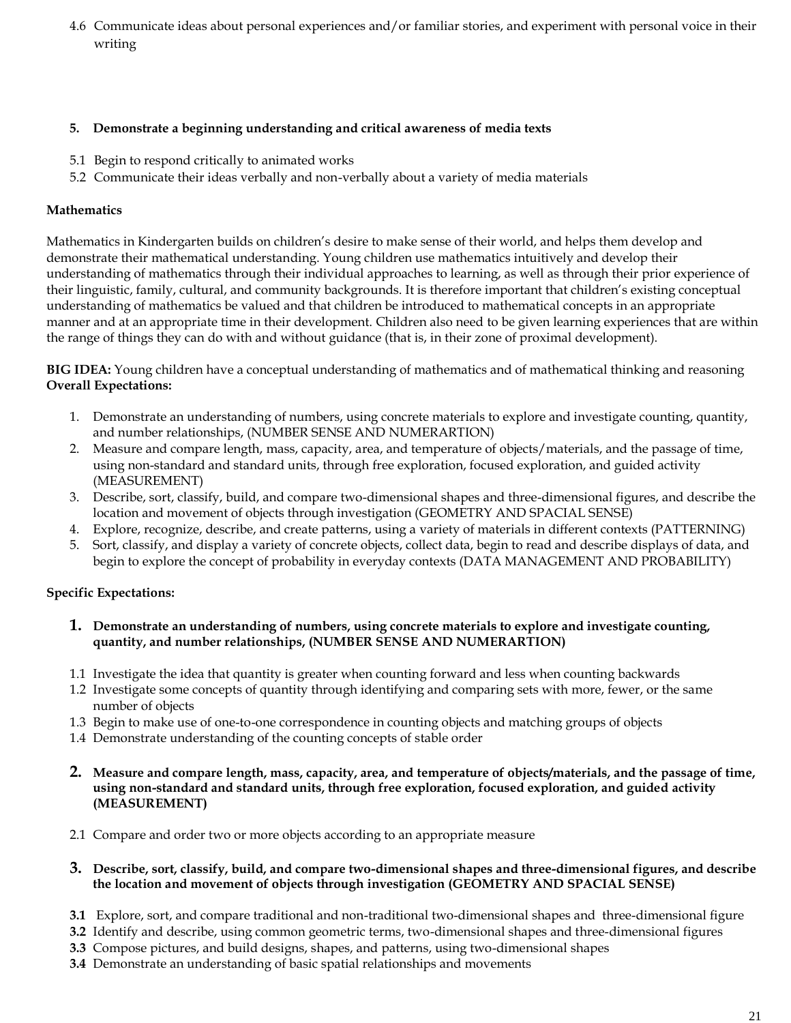4.6 Communicate ideas about personal experiences and/or familiar stories, and experiment with personal voice in their writing

#### **5. Demonstrate a beginning understanding and critical awareness of media texts**

- 5.1 Begin to respond critically to animated works
- 5.2 Communicate their ideas verbally and non-verbally about a variety of media materials

### **Mathematics**

Mathematics in Kindergarten builds on children's desire to make sense of their world, and helps them develop and demonstrate their mathematical understanding. Young children use mathematics intuitively and develop their understanding of mathematics through their individual approaches to learning, as well as through their prior experience of their linguistic, family, cultural, and community backgrounds. It is therefore important that children's existing conceptual understanding of mathematics be valued and that children be introduced to mathematical concepts in an appropriate manner and at an appropriate time in their development. Children also need to be given learning experiences that are within the range of things they can do with and without guidance (that is, in their zone of proximal development).

**BIG IDEA:** Young children have a conceptual understanding of mathematics and of mathematical thinking and reasoning **Overall Expectations:**

- 1. Demonstrate an understanding of numbers, using concrete materials to explore and investigate counting, quantity, and number relationships, (NUMBER SENSE AND NUMERARTION)
- 2. Measure and compare length, mass, capacity, area, and temperature of objects/materials, and the passage of time, using non-standard and standard units, through free exploration, focused exploration, and guided activity (MEASUREMENT)
- 3. Describe, sort, classify, build, and compare two-dimensional shapes and three-dimensional figures, and describe the location and movement of objects through investigation (GEOMETRY AND SPACIAL SENSE)
- 4. Explore, recognize, describe, and create patterns, using a variety of materials in different contexts (PATTERNING)
- 5. Sort, classify, and display a variety of concrete objects, collect data, begin to read and describe displays of data, and begin to explore the concept of probability in everyday contexts (DATA MANAGEMENT AND PROBABILITY)

### **Specific Expectations:**

- **1. Demonstrate an understanding of numbers, using concrete materials to explore and investigate counting, quantity, and number relationships, (NUMBER SENSE AND NUMERARTION)**
- 1.1 Investigate the idea that quantity is greater when counting forward and less when counting backwards
- 1.2 Investigate some concepts of quantity through identifying and comparing sets with more, fewer, or the same number of objects
- 1.3 Begin to make use of one-to-one correspondence in counting objects and matching groups of objects
- 1.4 Demonstrate understanding of the counting concepts of stable order
- **2. Measure and compare length, mass, capacity, area, and temperature of objects/materials, and the passage of time, using non-standard and standard units, through free exploration, focused exploration, and guided activity (MEASUREMENT)**
- 2.1 Compare and order two or more objects according to an appropriate measure

#### **3. Describe, sort, classify, build, and compare two-dimensional shapes and three-dimensional figures, and describe the location and movement of objects through investigation (GEOMETRY AND SPACIAL SENSE)**

- **3.1** Explore, sort, and compare traditional and non-traditional two-dimensional shapes and three-dimensional figure
- **3.2** Identify and describe, using common geometric terms, two-dimensional shapes and three-dimensional figures
- **3.3** Compose pictures, and build designs, shapes, and patterns, using two-dimensional shapes
- **3.4** Demonstrate an understanding of basic spatial relationships and movements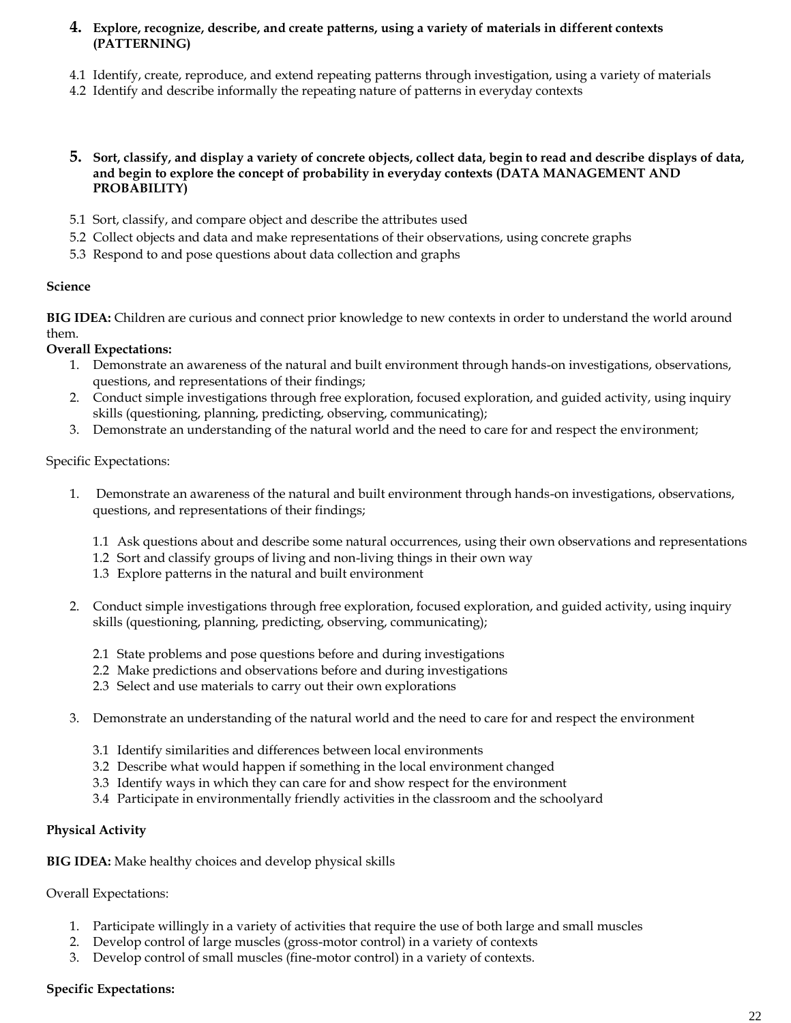#### **4. Explore, recognize, describe, and create patterns, using a variety of materials in different contexts (PATTERNING)**

- 4.1 Identify, create, reproduce, and extend repeating patterns through investigation, using a variety of materials
- 4.2 Identify and describe informally the repeating nature of patterns in everyday contexts

#### **5. Sort, classify, and display a variety of concrete objects, collect data, begin to read and describe displays of data, and begin to explore the concept of probability in everyday contexts (DATA MANAGEMENT AND PROBABILITY)**

- 5.1 Sort, classify, and compare object and describe the attributes used
- 5.2 Collect objects and data and make representations of their observations, using concrete graphs
- 5.3 Respond to and pose questions about data collection and graphs

#### **Science**

**BIG IDEA:** Children are curious and connect prior knowledge to new contexts in order to understand the world around them.

#### **Overall Expectations:**

- 1. Demonstrate an awareness of the natural and built environment through hands-on investigations, observations, questions, and representations of their findings;
- 2. Conduct simple investigations through free exploration, focused exploration, and guided activity, using inquiry skills (questioning, planning, predicting, observing, communicating);
- 3. Demonstrate an understanding of the natural world and the need to care for and respect the environment;

#### Specific Expectations:

- 1. Demonstrate an awareness of the natural and built environment through hands-on investigations, observations, questions, and representations of their findings;
	- 1.1 Ask questions about and describe some natural occurrences, using their own observations and representations
	- 1.2 Sort and classify groups of living and non-living things in their own way
	- 1.3 Explore patterns in the natural and built environment
- 2. Conduct simple investigations through free exploration, focused exploration, and guided activity, using inquiry skills (questioning, planning, predicting, observing, communicating);
	- 2.1 State problems and pose questions before and during investigations
	- 2.2 Make predictions and observations before and during investigations
	- 2.3 Select and use materials to carry out their own explorations
- 3. Demonstrate an understanding of the natural world and the need to care for and respect the environment
	- 3.1 Identify similarities and differences between local environments
	- 3.2 Describe what would happen if something in the local environment changed
	- 3.3 Identify ways in which they can care for and show respect for the environment
	- 3.4 Participate in environmentally friendly activities in the classroom and the schoolyard

#### **Physical Activity**

**BIG IDEA:** Make healthy choices and develop physical skills

Overall Expectations:

- 1. Participate willingly in a variety of activities that require the use of both large and small muscles
- 2. Develop control of large muscles (gross-motor control) in a variety of contexts
- 3. Develop control of small muscles (fine-motor control) in a variety of contexts.

### **Specific Expectations:**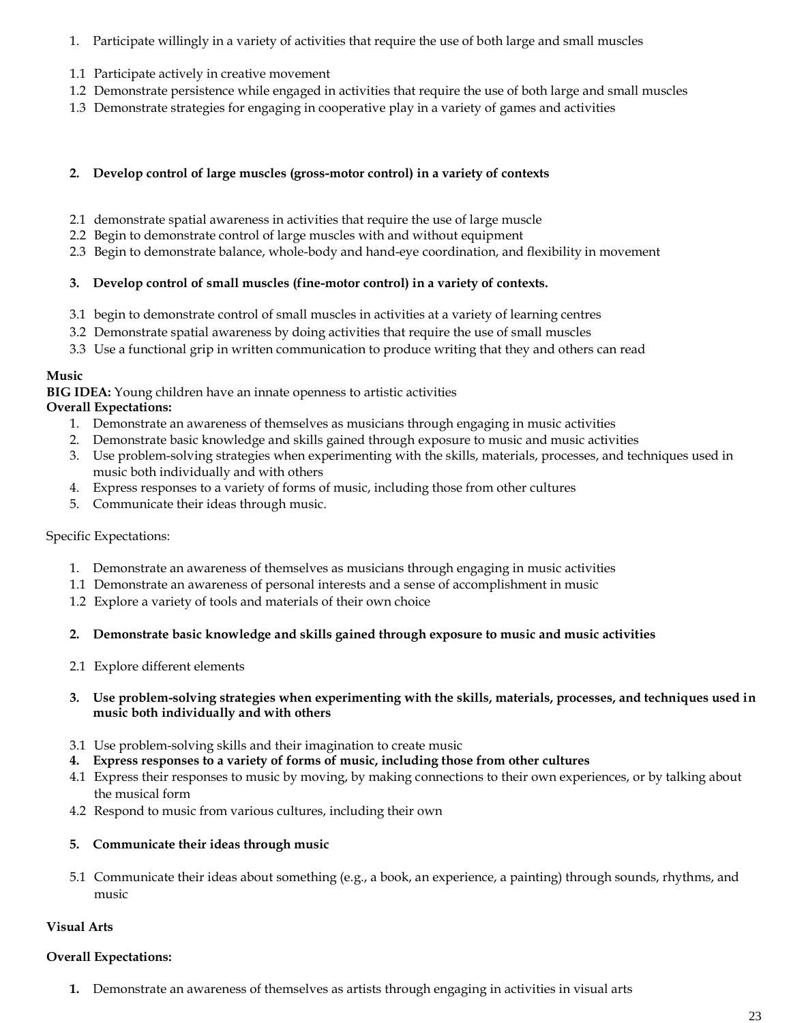- 1. Participate willingly in a variety of activities that require the use of both large and small muscles
- 1.1 Participate actively in creative movement
- 1.2 Demonstrate persistence while engaged in activities that require the use of both large and small muscles
- 1.3 Demonstrate strategies for engaging in cooperative play in a variety of games and activities

#### **2. Develop control of large muscles (gross-motor control) in a variety of contexts**

- 2.1 demonstrate spatial awareness in activities that require the use of large muscle
- 2.2 Begin to demonstrate control of large muscles with and without equipment
- 2.3 Begin to demonstrate balance, whole-body and hand-eye coordination, and flexibility in movement

#### **3. Develop control of small muscles (fine-motor control) in a variety of contexts.**

- 3.1 begin to demonstrate control of small muscles in activities at a variety of learning centres
- 3.2 Demonstrate spatial awareness by doing activities that require the use of small muscles
- 3.3 Use a functional grip in written communication to produce writing that they and others can read

#### **Music**

**BIG IDEA:** Young children have an innate openness to artistic activities

#### **Overall Expectations:**

- 1. Demonstrate an awareness of themselves as musicians through engaging in music activities
- 2. Demonstrate basic knowledge and skills gained through exposure to music and music activities
- 3. Use problem-solving strategies when experimenting with the skills, materials, processes, and techniques used in music both individually and with others
- 4. Express responses to a variety of forms of music, including those from other cultures
- 5. Communicate their ideas through music.

#### Specific Expectations:

- 1. Demonstrate an awareness of themselves as musicians through engaging in music activities
- 1.1 Demonstrate an awareness of personal interests and a sense of accomplishment in music
- 1.2 Explore a variety of tools and materials of their own choice

#### **2. Demonstrate basic knowledge and skills gained through exposure to music and music activities**

2.1 Explore different elements

#### **3. Use problem-solving strategies when experimenting with the skills, materials, processes, and techniques used in music both individually and with others**

- 3.1 Use problem-solving skills and their imagination to create music
- **4. Express responses to a variety of forms of music, including those from other cultures**
- 4.1 Express their responses to music by moving, by making connections to their own experiences, or by talking about the musical form
- 4.2 Respond to music from various cultures, including their own

#### **5. Communicate their ideas through music**

5.1 Communicate their ideas about something (e.g., a book, an experience, a painting) through sounds, rhythms, and music

#### **Visual Arts**

#### **Overall Expectations:**

**1.** Demonstrate an awareness of themselves as artists through engaging in activities in visual arts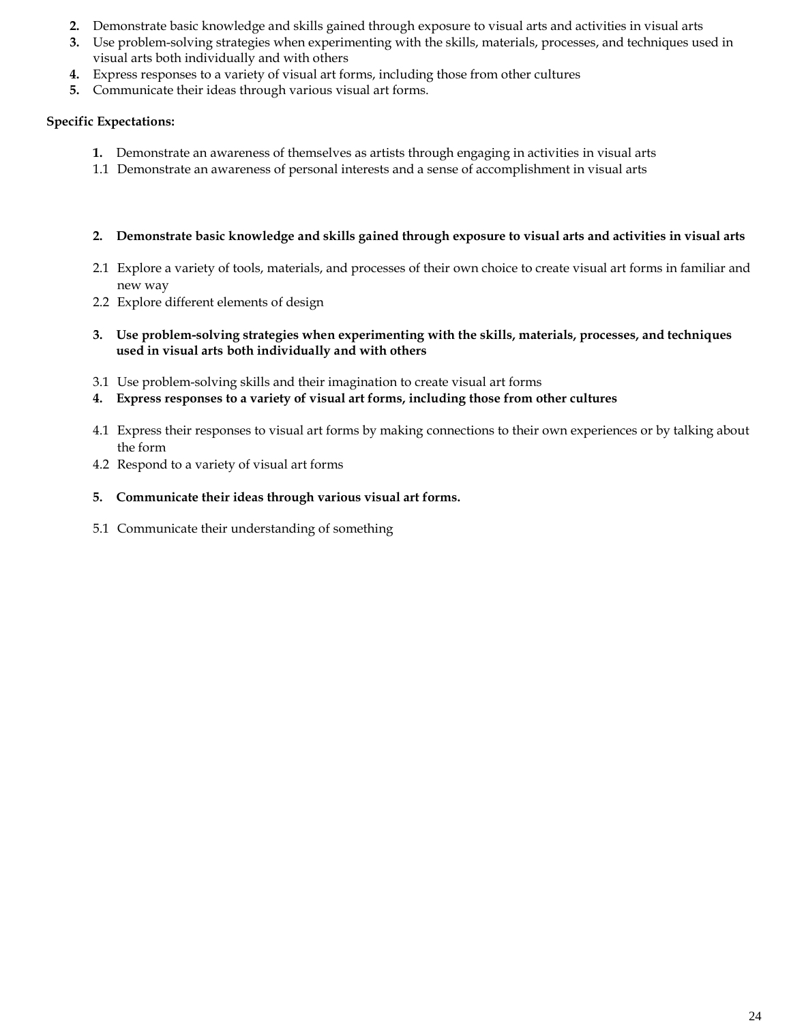- **2.** Demonstrate basic knowledge and skills gained through exposure to visual arts and activities in visual arts
- **3.** Use problem-solving strategies when experimenting with the skills, materials, processes, and techniques used in visual arts both individually and with others
- **4.** Express responses to a variety of visual art forms, including those from other cultures
- **5.** Communicate their ideas through various visual art forms.

### **Specific Expectations:**

- **1.** Demonstrate an awareness of themselves as artists through engaging in activities in visual arts
- 1.1 Demonstrate an awareness of personal interests and a sense of accomplishment in visual arts

#### **2. Demonstrate basic knowledge and skills gained through exposure to visual arts and activities in visual arts**

- 2.1 Explore a variety of tools, materials, and processes of their own choice to create visual art forms in familiar and new way
- 2.2 Explore different elements of design
- **3. Use problem-solving strategies when experimenting with the skills, materials, processes, and techniques used in visual arts both individually and with others**
- 3.1 Use problem-solving skills and their imagination to create visual art forms
- **4. Express responses to a variety of visual art forms, including those from other cultures**
- 4.1 Express their responses to visual art forms by making connections to their own experiences or by talking about the form
- 4.2 Respond to a variety of visual art forms

### **5. Communicate their ideas through various visual art forms.**

5.1 Communicate their understanding of something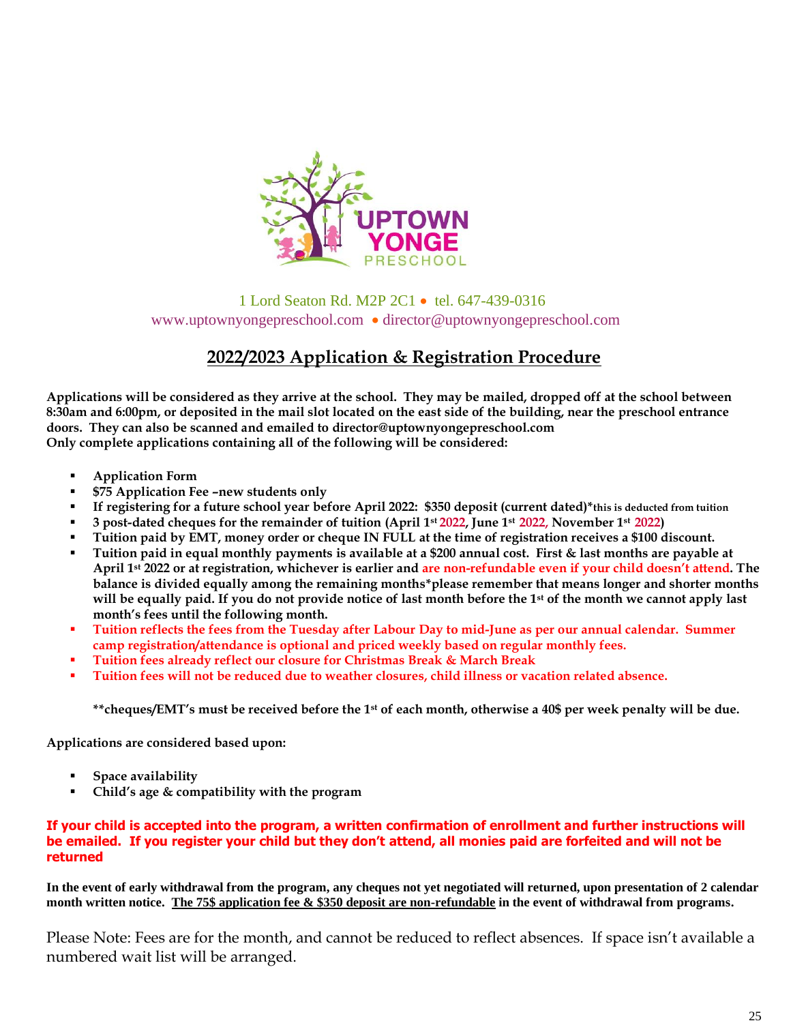

 1 Lord Seaton Rd. M2P 2C1 • tel. 647-439-0316 www.uptownyongepreschool.com • director@uptownyongepreschool.com

# **2022/2023 Application & Registration Procedure**

**Applications will be considered as they arrive at the school. They may be mailed, dropped off at the school between 8:30am and 6:00pm, or deposited in the mail slot located on the east side of the building, near the preschool entrance doors. They can also be scanned and emailed to director@uptownyongepreschool.com Only complete applications containing all of the following will be considered:**

- **Application Form**
- **\$75 Application Fee –new students only**
- **If registering for a future school year before April 2022: \$350 deposit (current dated)\*this is deducted from tuition**
- **3 post-dated cheques for the remainder of tuition (April 1st 2022, June 1st 2022, November 1st 2022)**
- **Tuition paid by EMT, money order or cheque IN FULL at the time of registration receives a \$100 discount.**
- **Tuition paid in equal monthly payments is available at a \$200 annual cost. First & last months are payable at April 1st 2022 or at registration, whichever is earlier and are non-refundable even if your child doesn't attend. The balance is divided equally among the remaining months\*please remember that means longer and shorter months will be equally paid. If you do not provide notice of last month before the 1st of the month we cannot apply last month's fees until the following month.**
- **Tuition reflects the fees from the Tuesday after Labour Day to mid-June as per our annual calendar. Summer camp registration/attendance is optional and priced weekly based on regular monthly fees.**
- **Tuition fees already reflect our closure for Christmas Break & March Break**
- **Tuition fees will not be reduced due to weather closures, child illness or vacation related absence.**

**\*\*cheques/EMT's must be received before the 1st of each month, otherwise a 40\$ per week penalty will be due.**

**Applications are considered based upon:**

- **Space availability**
- **Child's age & compatibility with the program**

#### **If your child is accepted into the program, a written confirmation of enrollment and further instructions will be emailed. If you register your child but they don't attend, all monies paid are forfeited and will not be returned**

**In the event of early withdrawal from the program, any cheques not yet negotiated will returned, upon presentation of 2 calendar month written notice. The 75\$ application fee & \$350 deposit are non-refundable in the event of withdrawal from programs.**

Please Note: Fees are for the month, and cannot be reduced to reflect absences. If space isn't available a numbered wait list will be arranged.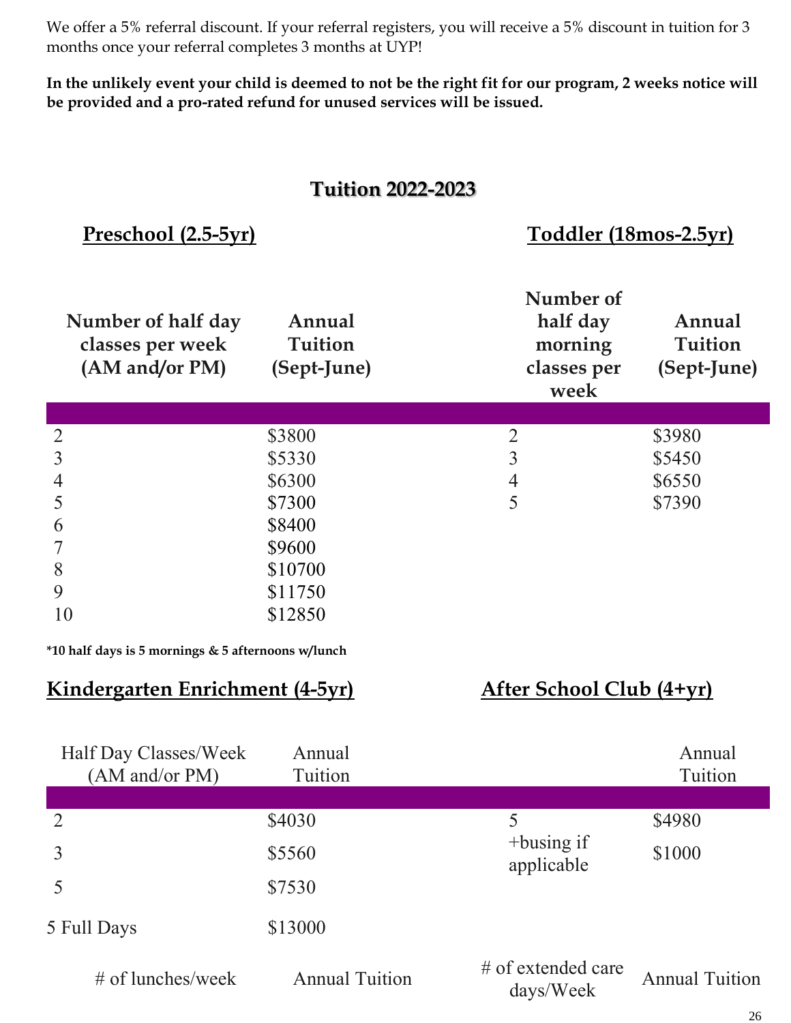We offer a 5% referral discount. If your referral registers, you will receive a 5% discount in tuition for 3 months once your referral completes 3 months at UYP!

**In the unlikely event your child is deemed to not be the right fit for our program, 2 weeks notice will be provided and a pro-rated refund for unused services will be issued.**

# **Tuition 2022-2023**

 **Preschool (2.5-5yr) Toddler (18mos-2.5yr)**

| Number of half day<br>classes per week<br>(AM and/or PM) | Annual<br><b>Tuition</b><br>(Sept-June) | Number of<br>half day<br>morning<br>classes per<br>week | Annual<br><b>Tuition</b><br>(Sept-June) |
|----------------------------------------------------------|-----------------------------------------|---------------------------------------------------------|-----------------------------------------|
|                                                          |                                         |                                                         |                                         |
| $\overline{2}$                                           | \$3800                                  | $\overline{2}$                                          | \$3980                                  |
| 3                                                        | \$5330                                  | 3                                                       | \$5450                                  |
| 4                                                        | \$6300                                  | $\overline{4}$                                          | \$6550                                  |
| 5                                                        | \$7300                                  | 5                                                       | \$7390                                  |
| 6                                                        | \$8400                                  |                                                         |                                         |
|                                                          | \$9600                                  |                                                         |                                         |
| 8                                                        | \$10700                                 |                                                         |                                         |
| 9                                                        | \$11750                                 |                                                         |                                         |
| 10                                                       | \$12850                                 |                                                         |                                         |

**\*10 half days is 5 mornings & 5 afternoons w/lunch**

# **Kindergarten Enrichment** (4-5yr) **After School Club** (4+yr)

| Half Day Classes/Week<br>(AM and/or PM) | Annual<br>Tuition     |                                   | Annual<br>Tuition     |
|-----------------------------------------|-----------------------|-----------------------------------|-----------------------|
|                                         |                       |                                   |                       |
| $\overline{2}$                          | \$4030                | 5                                 | \$4980                |
| 3                                       | \$5560                | $+$ busing if<br>applicable       | \$1000                |
|                                         | \$7530                |                                   |                       |
| 5 Full Days                             | \$13000               |                                   |                       |
| $\#$ of lunches/week                    | <b>Annual Tuition</b> | $#$ of extended care<br>days/Week | <b>Annual Tuition</b> |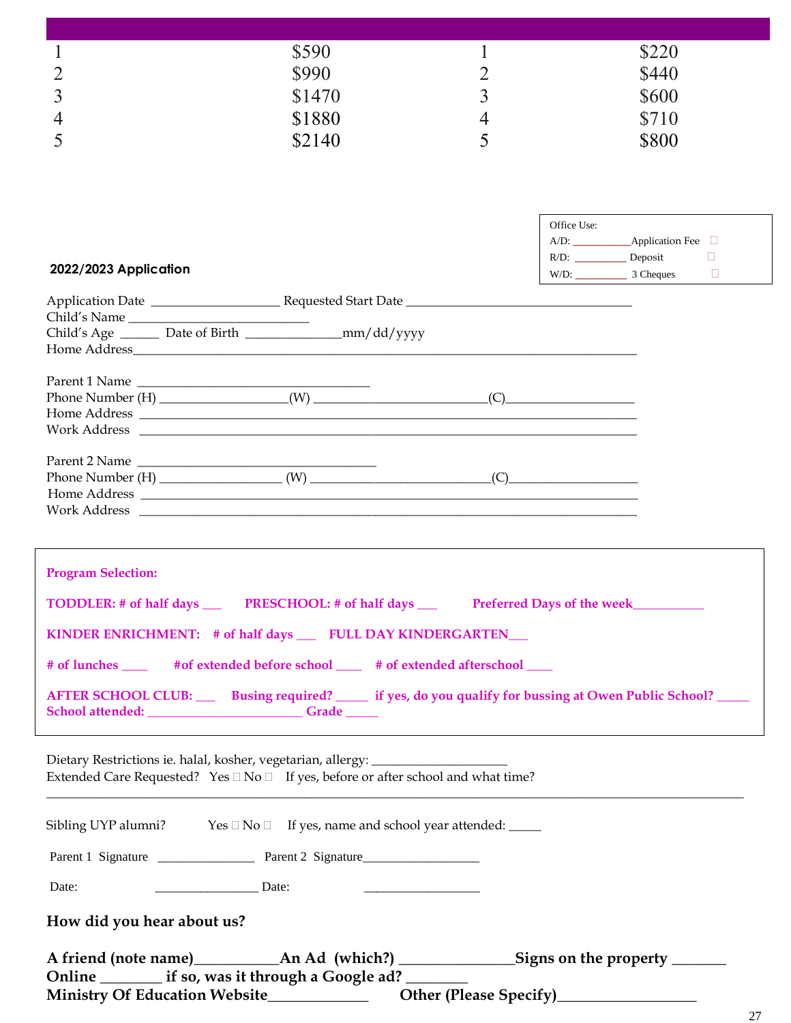|                | \$590  |   | \$220 |
|----------------|--------|---|-------|
| $\overline{2}$ | \$990  |   | \$440 |
| $\overline{3}$ | \$1470 | ب | \$600 |
| $\overline{4}$ | \$1880 | 4 | \$710 |
| 5              | \$2140 | ÷ | \$800 |

| 2022/2023 Application                                                                                                                                                                                                                                                                                                         | Office Use:<br>$R/D:$ Deposit<br>$\Box$<br>$W/D:$ 3 Cheques $\Box$ |
|-------------------------------------------------------------------------------------------------------------------------------------------------------------------------------------------------------------------------------------------------------------------------------------------------------------------------------|--------------------------------------------------------------------|
| Child's Name<br>Child's Age _______ Date of Birth ___________________mm/dd/yyyy                                                                                                                                                                                                                                               |                                                                    |
| Parent 1 Name                                                                                                                                                                                                                                                                                                                 |                                                                    |
| Parent 2 Name<br>Phone Number $(H)$ (W) (W) (C)<br>Work Address <u>and the second second second second second second second second second second second second second second second second second second second second second second second second second second second second seco</u>                                       |                                                                    |
| <b>Program Selection:</b><br>KINDER ENRICHMENT: # of half days _____ FULL DAY KINDERGARTEN___<br># of lunches ______ # of extended before school _____ # of extended afterschool ____<br>AFTER SCHOOL CLUB: Busing required? ______ if yes, do you qualify for bussing at Owen Public School? _____<br>School attended: Grade |                                                                    |
| Dietary Restrictions ie. halal, kosher, vegetarian, allergy: ___________________<br>Extended Care Requested? Yes □ No □ If yes, before or after school and what time?                                                                                                                                                         |                                                                    |

\_\_\_\_\_\_\_\_\_\_\_\_\_\_\_\_\_\_\_\_\_\_\_\_\_\_\_\_\_\_\_\_\_\_\_\_\_\_\_\_\_\_\_\_\_\_\_\_\_\_\_\_\_\_\_\_\_\_\_\_\_\_\_\_\_\_\_\_\_\_\_\_\_\_\_\_\_\_\_\_\_\_\_\_\_\_\_\_\_\_\_\_\_\_\_\_\_\_\_\_\_\_\_\_\_\_\_\_ Sibling UYP alumni? Yes  $\Box$  No  $\Box$  If yes, name and school year attended:  $\Box$ Parent 1 Signature \_\_\_\_\_\_\_\_\_\_\_\_\_\_\_ Parent 2 Signature\_\_\_\_\_\_\_\_\_\_\_\_\_\_\_\_\_\_ Date: \_\_\_\_\_\_\_\_\_\_\_\_\_\_\_\_ Date: \_\_\_\_\_\_\_\_\_\_\_\_\_\_\_\_\_\_ **How did you hear about us? A friend (note name)\_\_\_\_\_\_\_\_\_\_\_An Ad (which?) \_\_\_\_\_\_\_\_\_\_\_\_\_\_\_Signs on the property \_\_\_\_\_\_\_ Online \_\_\_\_\_\_\_\_ if so, was it through a Google ad? \_\_\_\_\_\_\_\_**

Ministry Of Education Website\_\_\_\_\_\_\_\_\_\_\_\_\_\_\_\_\_\_\_\_ Other (Please Specify)\_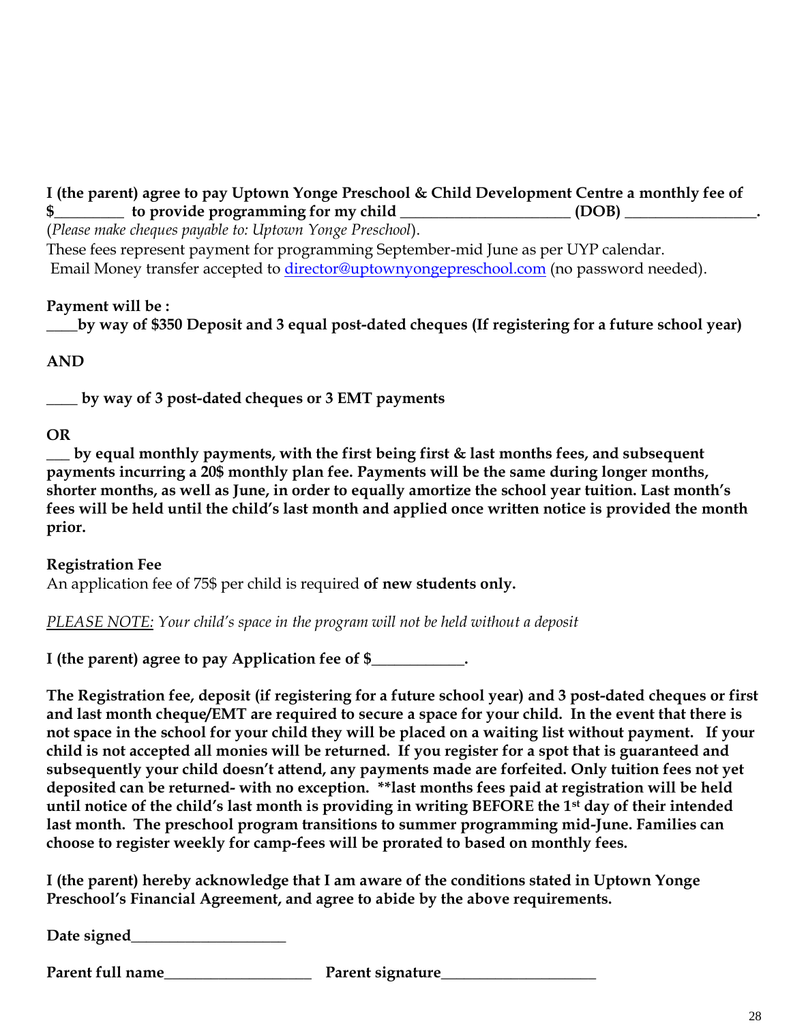# **I (the parent) agree to pay Uptown Yonge Preschool & Child Development Centre a monthly fee of \$\_\_\_\_\_\_\_\_\_ to provide programming for my child \_\_\_\_\_\_\_\_\_\_\_\_\_\_\_\_\_\_\_\_\_\_ (DOB) \_\_\_\_\_\_\_\_\_\_\_\_\_\_\_\_\_.**

(*Please make cheques payable to: Uptown Yonge Preschool*).

These fees represent payment for programming September-mid June as per UYP calendar. Email Money transfer accepted to *director@uptownyongepreschool.com* (no password needed).

# **Payment will be :**

**\_\_\_\_by way of \$350 Deposit and 3 equal post-dated cheques (If registering for a future school year)**

# **AND**

**\_\_\_\_ by way of 3 post-dated cheques or 3 EMT payments**

# **OR**

**\_\_\_ by equal monthly payments, with the first being first & last months fees, and subsequent payments incurring a 20\$ monthly plan fee. Payments will be the same during longer months, shorter months, as well as June, in order to equally amortize the school year tuition. Last month's fees will be held until the child's last month and applied once written notice is provided the month prior.**

# **Registration Fee** An application fee of 75\$ per child is required **of new students only.**

*PLEASE NOTE: Your child's space in the program will not be held without a deposit*

**I (the parent) agree to pay Application fee of \$\_\_\_\_\_\_\_\_\_\_\_\_.** 

**The Registration fee, deposit (if registering for a future school year) and 3 post-dated cheques or first and last month cheque/EMT are required to secure a space for your child. In the event that there is not space in the school for your child they will be placed on a waiting list without payment. If your child is not accepted all monies will be returned. If you register for a spot that is guaranteed and subsequently your child doesn't attend, any payments made are forfeited. Only tuition fees not yet deposited can be returned- with no exception. \*\*last months fees paid at registration will be held until notice of the child's last month is providing in writing BEFORE the 1st day of their intended last month. The preschool program transitions to summer programming mid-June. Families can choose to register weekly for camp-fees will be prorated to based on monthly fees.**

**I (the parent) hereby acknowledge that I am aware of the conditions stated in Uptown Yonge Preschool's Financial Agreement, and agree to abide by the above requirements.**

**Date signed\_\_\_\_\_\_\_\_\_\_\_\_\_\_\_\_\_\_\_\_**

**Parent full name Parent signature**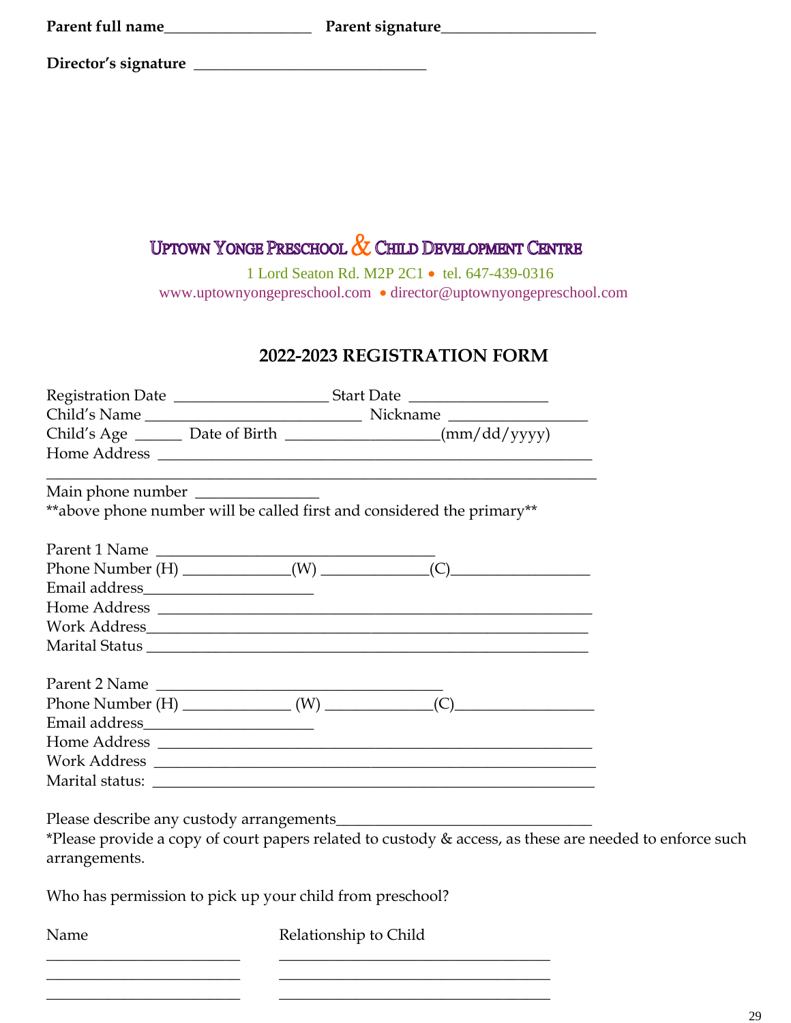|  | Parent full name |
|--|------------------|
|--|------------------|

**Parent full name\_\_\_\_\_\_\_\_\_\_\_\_\_\_\_\_\_\_\_ Parent signature\_\_\_\_\_\_\_\_\_\_\_\_\_\_\_\_\_\_\_\_**

**Director's signature \_\_\_\_\_\_\_\_\_\_\_\_\_\_\_\_\_\_\_\_\_\_\_\_\_\_\_\_\_\_**

# UPTOWN YONGE PRESCHOOL & CHILD DEVELOPMENT CENTRE

 1 Lord Seaton Rd. M2P 2C1 • tel. 647-439-0316 www.uptownyongepreschool.com • director@uptownyongepreschool.com

# **2022-2023 REGISTRATION FORM**

|               |                                                          | Child's Age ________ Date of Birth ___________________(mm/dd/yyyy)                                      |  |
|---------------|----------------------------------------------------------|---------------------------------------------------------------------------------------------------------|--|
|               |                                                          |                                                                                                         |  |
|               |                                                          |                                                                                                         |  |
|               |                                                          | **above phone number will be called first and considered the primary**                                  |  |
|               | Parent 1 Name                                            |                                                                                                         |  |
|               |                                                          |                                                                                                         |  |
|               |                                                          |                                                                                                         |  |
|               |                                                          | Home Address                                                                                            |  |
|               |                                                          |                                                                                                         |  |
|               |                                                          |                                                                                                         |  |
|               |                                                          |                                                                                                         |  |
|               |                                                          | Parent 2 Name<br>Phone Number $(H)$ (W) (C)                                                             |  |
|               |                                                          |                                                                                                         |  |
|               |                                                          |                                                                                                         |  |
|               |                                                          | Work Address                                                                                            |  |
|               |                                                          |                                                                                                         |  |
|               |                                                          |                                                                                                         |  |
|               |                                                          | *Please provide a copy of court papers related to custody & access, as these are needed to enforce such |  |
| arrangements. |                                                          |                                                                                                         |  |
|               | Who has permission to pick up your child from preschool? |                                                                                                         |  |
| Name          |                                                          | Relationship to Child                                                                                   |  |

\_\_\_\_\_\_\_\_\_\_\_\_\_\_\_\_\_\_\_\_\_\_\_\_\_ \_\_\_\_\_\_\_\_\_\_\_\_\_\_\_\_\_\_\_\_\_\_\_\_\_\_\_\_\_\_\_\_\_\_\_ \_\_\_\_\_\_\_\_\_\_\_\_\_\_\_\_\_\_\_\_\_\_\_\_\_ \_\_\_\_\_\_\_\_\_\_\_\_\_\_\_\_\_\_\_\_\_\_\_\_\_\_\_\_\_\_\_\_\_\_\_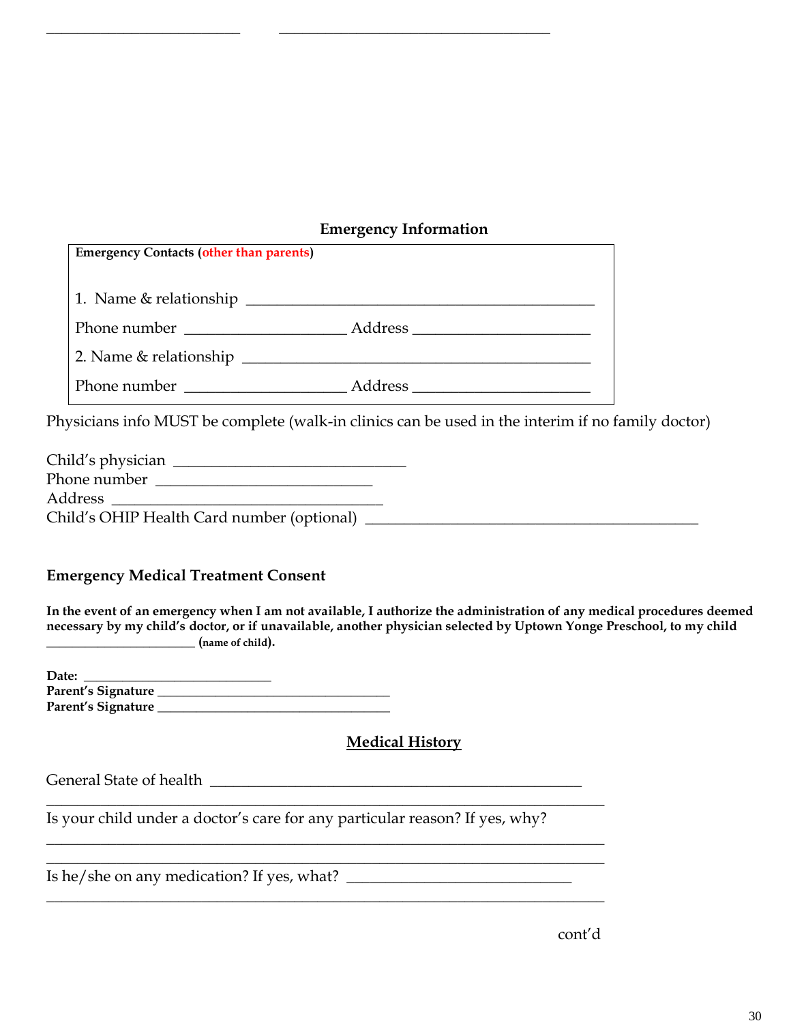# **Emergency Information**

| <b>Emergency Contacts (other than parents)</b> |  |
|------------------------------------------------|--|
|                                                |  |
|                                                |  |
|                                                |  |
| Phone number <b>and Address Address</b>        |  |

\_\_\_\_\_\_\_\_\_\_\_\_\_\_\_\_\_\_\_\_\_\_\_\_\_ \_\_\_\_\_\_\_\_\_\_\_\_\_\_\_\_\_\_\_\_\_\_\_\_\_\_\_\_\_\_\_\_\_\_\_

Physicians info MUST be complete (walk-in clinics can be used in the interim if no family doctor)

| Child's physician                          |  |
|--------------------------------------------|--|
| Phone number                               |  |
| Address                                    |  |
| Child's OHIP Health Card number (optional) |  |

# **Emergency Medical Treatment Consent**

**In the event of an emergency when I am not available, I authorize the administration of any medical procedures deemed necessary by my child's doctor, or if unavailable, another physician selected by Uptown Yonge Preschool, to my child \_\_\_\_\_\_\_\_\_\_\_\_\_\_\_\_\_\_\_\_\_\_\_ (name of child).**

| Date:              |  |
|--------------------|--|
| Parent's Signature |  |
| Parent's Signature |  |

# **Medical History**

General State of health \_\_\_\_\_\_\_\_\_\_\_\_\_\_\_\_\_\_\_\_\_\_\_\_\_\_\_\_\_\_\_\_\_\_\_\_\_\_\_\_\_\_\_\_\_\_\_\_

Is your child under a doctor's care for any particular reason? If yes, why?

 $\_$  , and the set of the set of the set of the set of the set of the set of the set of the set of the set of the set of the set of the set of the set of the set of the set of the set of the set of the set of the set of th

 $\_$  , and the set of the set of the set of the set of the set of the set of the set of the set of the set of the set of the set of the set of the set of the set of the set of the set of the set of the set of the set of th  $\_$  , and the set of the set of the set of the set of the set of the set of the set of the set of the set of the set of the set of the set of the set of the set of the set of the set of the set of the set of the set of th

 $\_$  , and the set of the set of the set of the set of the set of the set of the set of the set of the set of the set of the set of the set of the set of the set of the set of the set of the set of the set of the set of th

Is he/she on any medication? If yes, what?  $\frac{1}{\sqrt{2}}$ 

cont'd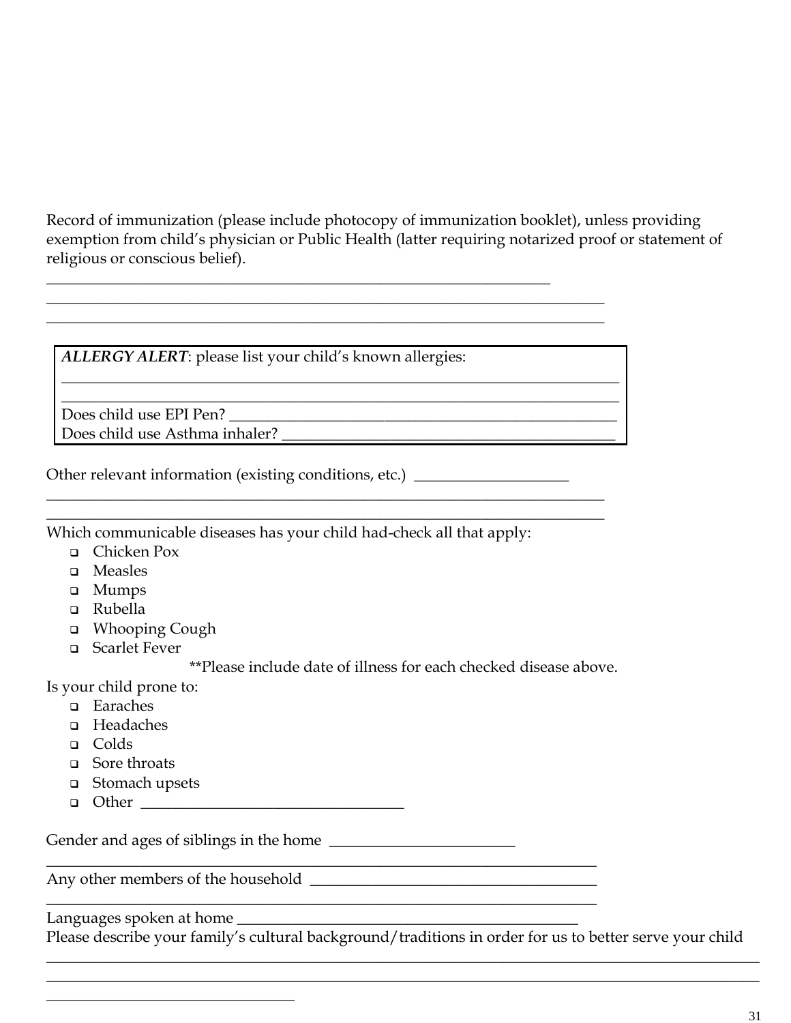Record of immunization (please include photocopy of immunization booklet), unless providing exemption from child's physician or Public Health (latter requiring notarized proof or statement of religious or conscious belief).

 $\_$ 

*ALLERGY ALERT*: please list your child's known allergies:

\_\_\_\_\_\_\_\_\_\_\_\_\_\_\_\_\_\_\_\_\_\_\_\_\_\_\_\_\_\_\_\_\_\_\_\_\_\_\_\_\_\_\_\_\_\_\_\_\_\_\_\_\_\_\_\_\_\_\_\_\_\_\_\_\_

 $\_$  , and the set of the set of the set of the set of the set of the set of the set of the set of the set of the set of the set of the set of the set of the set of the set of the set of the set of the set of the set of th

 $\_$  , and the set of the set of the set of the set of the set of the set of the set of the set of the set of the set of the set of the set of the set of the set of the set of the set of the set of the set of the set of th \_\_\_\_\_\_\_\_\_\_\_\_\_\_\_\_\_\_\_\_\_\_\_\_\_\_\_\_\_\_\_\_\_\_\_\_\_\_\_\_\_\_\_\_\_\_\_\_\_\_\_\_\_\_\_\_\_\_\_\_\_\_\_\_\_\_\_\_\_\_\_\_

 $\_$  , and the set of the set of the set of the set of the set of the set of the set of the set of the set of the set of the set of the set of the set of the set of the set of the set of the set of the set of the set of th  $\_$  , and the set of the set of the set of the set of the set of the set of the set of the set of the set of the set of the set of the set of the set of the set of the set of the set of the set of the set of the set of th

Does child use EPI Pen? Does child use Asthma inhaler? \_\_\_\_\_\_\_\_\_\_\_\_\_\_\_\_\_\_\_\_\_\_\_\_\_\_\_\_\_\_\_\_\_\_\_\_\_\_\_\_\_\_\_

Other relevant information (existing conditions, etc.) \_\_\_\_\_\_\_\_\_\_\_\_\_\_\_\_\_\_\_\_\_\_\_\_\_

Which communicable diseases has your child had-check all that apply:

- ❑ Chicken Pox
- ❑ Measles
- ❑ Mumps
- ❑ Rubella
- ❑ Whooping Cough
- ❑ Scarlet Fever

\*\*Please include date of illness for each checked disease above.

Is your child prone to:

- ❑ Earaches
- ❑ Headaches
- ❑ Colds
- ❑ Sore throats
- ❑ Stomach upsets
- $\Box$  Other  $\Box$

Gender and ages of siblings in the home \_\_\_\_\_\_\_\_\_\_\_\_\_\_\_\_\_\_\_\_\_\_\_\_

\_\_\_\_\_\_\_\_\_\_\_\_\_\_\_\_\_\_\_\_\_\_\_\_\_\_\_\_\_\_\_\_\_\_\_\_\_\_\_\_\_\_\_\_\_\_\_\_\_\_\_\_\_\_\_\_\_\_\_\_\_\_\_\_\_\_\_\_\_\_\_

Any other members of the household \_\_\_\_\_\_\_\_\_\_\_\_\_\_\_\_\_\_\_\_\_\_\_\_\_\_\_\_\_\_\_\_\_\_\_\_\_

 $\overline{\phantom{a}}$  , where  $\overline{\phantom{a}}$  , where  $\overline{\phantom{a}}$  , where  $\overline{\phantom{a}}$ 

Languages spoken at home

Please describe your family's cultural background/traditions in order for us to better serve your child  $\_$  , and the set of the set of the set of the set of the set of the set of the set of the set of the set of the set of the set of the set of the set of the set of the set of the set of the set of the set of the set of th

 $\_$  , and the set of the set of the set of the set of the set of the set of the set of the set of the set of the set of the set of the set of the set of the set of the set of the set of the set of the set of the set of th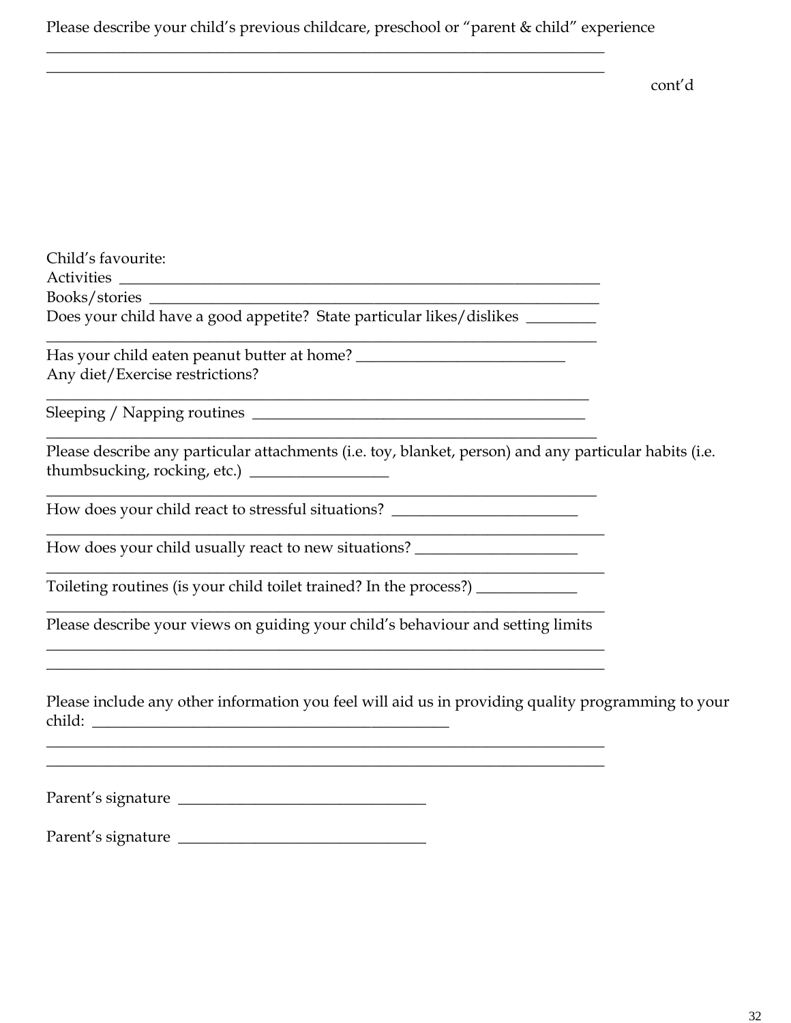# Please describe your child's previous childcare, preschool or "parent & child" experience

 $\_$  , and the set of the set of the set of the set of the set of the set of the set of the set of the set of the set of the set of the set of the set of the set of the set of the set of the set of the set of the set of th  $\_$  , and the set of the set of the set of the set of the set of the set of the set of the set of the set of the set of the set of the set of the set of the set of the set of the set of the set of the set of the set of th

cont'd

| Child's favourite:                                                                                                                                                                                       |
|----------------------------------------------------------------------------------------------------------------------------------------------------------------------------------------------------------|
|                                                                                                                                                                                                          |
| Does your child have a good appetite? State particular likes/dislikes ________                                                                                                                           |
|                                                                                                                                                                                                          |
| Any diet/Exercise restrictions?<br><u> 1989 - Johann Stoff, deutscher Stoff, der Stoff, der Stoff, der Stoff, der Stoff, der Stoff, der Stoff, der S</u>                                                 |
|                                                                                                                                                                                                          |
| Please describe any particular attachments (i.e. toy, blanket, person) and any particular habits (i.e.<br>thumbsucking, rocking, etc.) __________________                                                |
| <u> 1989 - Johann Stein, marwolaethau a bhann an t-Amhain an t-Amhain an t-Amhain an t-Amhain an t-Amhain an t-A</u><br>How does your child react to stressful situations? _____________________________ |
| How does your child usually react to new situations? ___________________________                                                                                                                         |
| Toileting routines (is your child toilet trained? In the process?) _____________                                                                                                                         |
| Please describe your views on guiding your child's behaviour and setting limits<br>and the control of the control of the control of the control of the control of the control of the control of the      |
| ,我们也不能在这里的时候,我们也不能在这里的时候,我们也不能会在这里的时候,我们也不能会在这里的时候,我们也不能会在这里的时候,我们也不能会在这里的时候,我们也<br>Please include any other information you feel will aid us in providing quality programming to your                   |
|                                                                                                                                                                                                          |
| Parent's signature                                                                                                                                                                                       |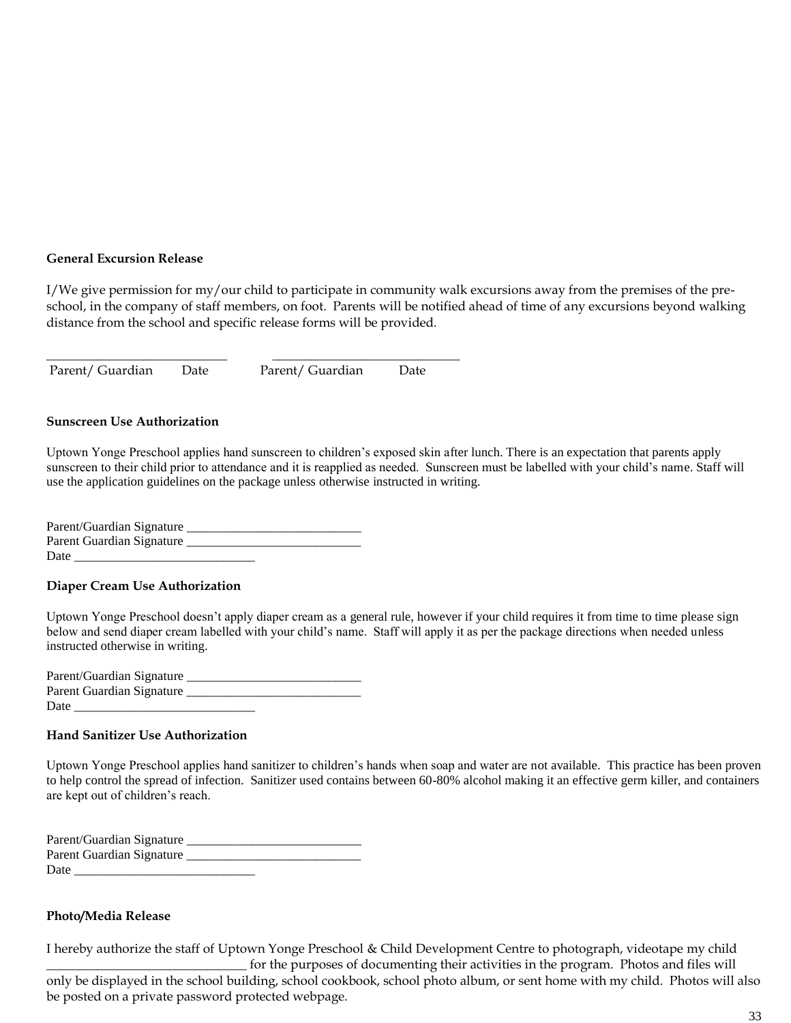#### **General Excursion Release**

I/We give permission for my/our child to participate in community walk excursions away from the premises of the preschool, in the company of staff members, on foot. Parents will be notified ahead of time of any excursions beyond walking distance from the school and specific release forms will be provided.

Parent/ Guardian Date Parent/ Guardian Date

\_\_\_\_\_\_\_\_\_\_\_\_\_\_\_\_\_\_\_\_\_\_\_\_\_\_\_\_ \_\_\_\_\_\_\_\_\_\_\_\_\_\_\_\_\_\_\_\_\_\_\_\_\_\_\_\_\_

#### **Sunscreen Use Authorization**

Uptown Yonge Preschool applies hand sunscreen to children's exposed skin after lunch. There is an expectation that parents apply sunscreen to their child prior to attendance and it is reapplied as needed. Sunscreen must be labelled with your child's name. Staff will use the application guidelines on the package unless otherwise instructed in writing.

| Parent/Guardian Signature |  |
|---------------------------|--|
| Parent Guardian Signature |  |
| Date                      |  |

#### **Diaper Cream Use Authorization**

Uptown Yonge Preschool doesn't apply diaper cream as a general rule, however if your child requires it from time to time please sign below and send diaper cream labelled with your child's name. Staff will apply it as per the package directions when needed unless instructed otherwise in writing.

| Parent/Guardian Signature |  |
|---------------------------|--|
| Parent Guardian Signature |  |
| Date                      |  |

#### **Hand Sanitizer Use Authorization**

Uptown Yonge Preschool applies hand sanitizer to children's hands when soap and water are not available. This practice has been proven to help control the spread of infection. Sanitizer used contains between 60-80% alcohol making it an effective germ killer, and containers are kept out of children's reach.

| Parent/Guardian Signature |  |
|---------------------------|--|
| Parent Guardian Signature |  |
| Date                      |  |

#### **Photo/Media Release**

I hereby authorize the staff of Uptown Yonge Preschool & Child Development Centre to photograph, videotape my child for the purposes of documenting their activities in the program. Photos and files will

only be displayed in the school building, school cookbook, school photo album, or sent home with my child. Photos will also be posted on a private password protected webpage.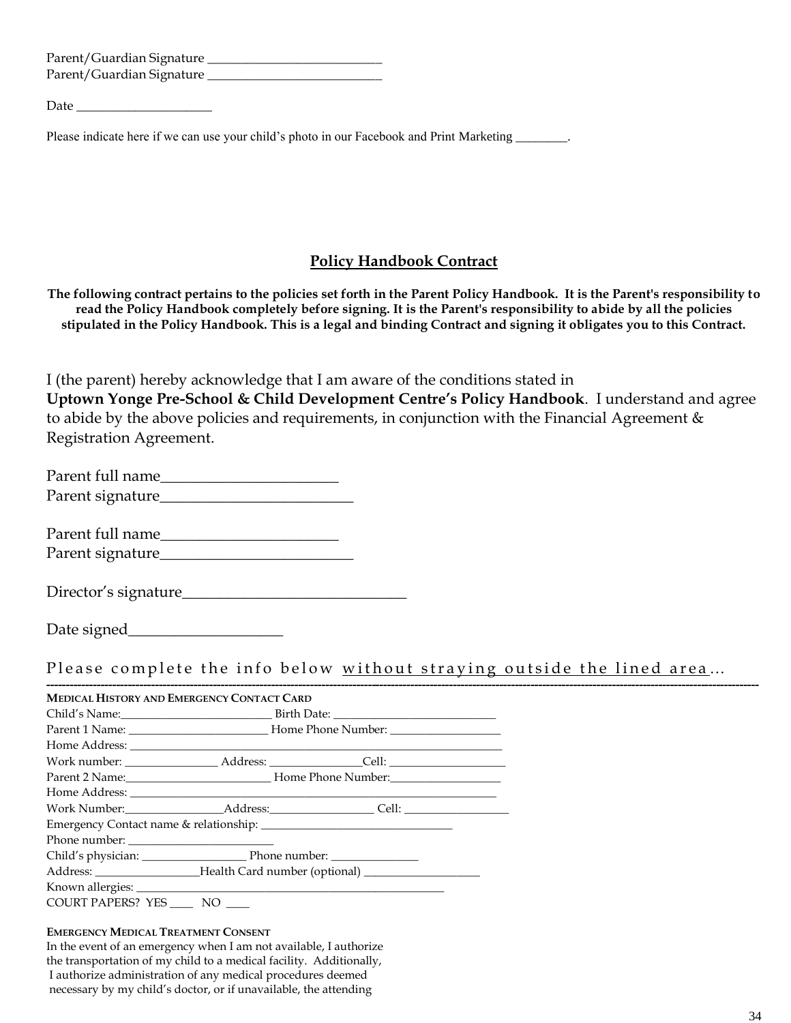| Parent/Guardian Signature |  |
|---------------------------|--|
| Parent/Guardian Signature |  |

Date

Please indicate here if we can use your child's photo in our Facebook and Print Marketing

# **Policy Handbook Contract**

**The following contract pertains to the policies set forth in the Parent Policy Handbook. It is the Parent's responsibility to read the Policy Handbook completely before signing. It is the Parent's responsibility to abide by all the policies stipulated in the Policy Handbook. This is a legal and binding Contract and signing it obligates you to this Contract.**

I (the parent) hereby acknowledge that I am aware of the conditions stated in **Uptown Yonge Pre-School & Child Development Centre's Policy Handbook**. I understand and agree to abide by the above policies and requirements, in conjunction with the Financial Agreement & Registration Agreement.

| Parent full name |  |
|------------------|--|
| Parent signature |  |

Parent full name Parent signature\_\_\_\_\_\_\_\_\_\_\_\_\_\_\_\_\_\_\_\_\_\_\_\_\_

Director's signature\_\_\_\_\_\_\_\_\_\_\_\_\_\_\_\_\_\_\_\_\_\_\_\_\_\_\_\_\_

Date signed\_\_\_\_\_\_\_\_\_\_\_\_\_\_\_\_\_\_\_\_

Please complete the info below without straying outside the lined area...

| <b>MEDICAL HISTORY AND EMERGENCY CONTACT CARD</b>                                |  |  |
|----------------------------------------------------------------------------------|--|--|
|                                                                                  |  |  |
|                                                                                  |  |  |
|                                                                                  |  |  |
|                                                                                  |  |  |
|                                                                                  |  |  |
|                                                                                  |  |  |
|                                                                                  |  |  |
|                                                                                  |  |  |
| Phone number:                                                                    |  |  |
|                                                                                  |  |  |
| Address: ____________________Health Card number (optional) _____________________ |  |  |
|                                                                                  |  |  |
| COURT PAPERS? YES _____ NO ____                                                  |  |  |

#### **EMERGENCY MEDICAL TREATMENT CONSENT**

In the event of an emergency when I am not available, I authorize the transportation of my child to a medical facility. Additionally, I authorize administration of any medical procedures deemed necessary by my child's doctor, or if unavailable, the attending